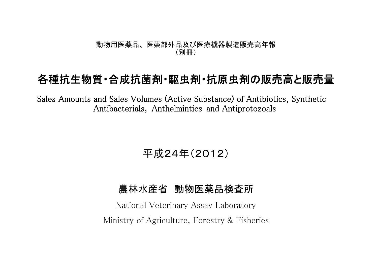#### 動物用医薬品、 医薬部外品及び医療機器製造販売高年報 (別冊)

# 各種抗生物質・合成抗菌剤・駆虫剤・抗原虫剤の販売高と販売量

Sales Amounts and Sales Volumes (Active Substance) of Antibiotics, Synthetic Antibacterials, Anthelmintics and Antiprotozoals

## 平成24年(2012)

### 農林水産省 動物医薬品検査所

National Veterinary Assay Laboratory Ministry of Agriculture, Forestry & Fisheries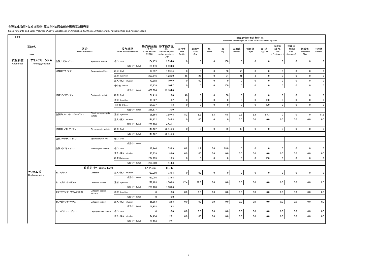#### 各種抗生物質・合成抗菌剤・駆虫剤・抗原虫剤の販売高と販売量

Sales Amounts and Sales Volumes (Active Substance) of Antibiotics, Synthetic Antibacterials, Anthelmintics and Antiprotozoals

| H <sub>24</sub> |                         |                        |                                |                                 |                                    |                                                                   |                       |                     |                |              | Estimated Percentages of Sales for Each Animals Species | 対象動物別推定割合 (%) |                |                                     |                                   |                           |                |
|-----------------|-------------------------|------------------------|--------------------------------|---------------------------------|------------------------------------|-------------------------------------------------------------------|-----------------------|---------------------|----------------|--------------|---------------------------------------------------------|---------------|----------------|-------------------------------------|-----------------------------------|---------------------------|----------------|
|                 | 系統名<br>Class            | 区分<br>Active substance |                                | 投与経路<br>Route of administration | (千円)<br>Sales amount<br>$(*1,000)$ | 販売高金額 原末換算量<br>(Kg)<br>Amount of pure<br>active substance<br>(Kg) | 肉用牛<br>Beef<br>Cattle | 乳用牛<br>Dairy<br>Cow | 馬<br>Horse     | 豚<br>Pig     | 肉用鶏<br><b>Broiler</b>                                   | 採卵鶏<br>Layer  | 犬・猫<br>Dog/Cat | 水産用<br>(淡水)<br>Fish<br>(Freshwater) | 水産用<br>(海水)<br>Fish<br>(Seawater) | 観賞魚<br>Ornamental<br>Fish | その他<br>Others  |
| 抗生物質            | アミノグリコシド系               | 硫酸アプラマイシン              | Apramycin sulfate              | 経口 Oral                         | 104.179                            | 2.094.0                                                           | $\mathbf 0$           | $\mathbf 0$         | $\overline{0}$ | 100          | $\overline{0}$                                          | $\mathbf 0$   | $\mathbf 0$    | $\mathbf 0$                         | $\mathbf 0$                       | $\mathbf 0$               | $\overline{0}$ |
| Antibiotics     | Aminoglycosides         |                        |                                | 成分·計 Total                      | 104.179                            | 2.094.0                                                           |                       |                     |                |              |                                                         |               |                |                                     |                                   |                           |                |
|                 |                         | 硫酸カナマイシン               | Kanamycin sulfate              | 経口 Oral                         | 77.937                             | 7.691.4                                                           | $\mathbf 0$           | $\mathbf{0}$        | $\mathbf 0$    | 50           | 50                                                      | $\mathbf{0}$  | $\mathbf{0}$   | $\mathbf 0$                         | $\Omega$                          | $\mathbf{0}$              | $\mathbf{0}$   |
|                 |                         |                        |                                | 注射 Injection                    | 293,546                            | 4,280.0                                                           | 15                    | 26                  | $\mathbf 0$    | 34           | 21                                                      | $\mathbf{3}$  | $\mathbf 0$    | $\pmb{0}$                           | $\mathbf 0$                       | $\mathbf 0$               | $\overline{0}$ |
|                 |                         |                        |                                | 注入·挿入 Infusion                  | 72,302                             | 107.9                                                             | 0                     | 100                 | $\mathbf 0$    | $\mathbf{0}$ | $\mathbf 0$                                             | $\mathbf 0$   | $\mathbf 0$    | $\mathbf 0$                         | $\mathbf 0$                       | $\mathbf 0$               | $\overline{0}$ |
|                 |                         |                        |                                | その他 Others                      | 13,139                             | 104.7                                                             | $\mathbf 0$           | $\mathbf{0}$        | $\overline{0}$ | 100          | $\mathbf{0}$                                            | $\mathbf 0$   | $\mathbf{0}$   | $\mathbf 0$                         | $\mathbf 0$                       | $\mathbf{0}$              | $\overline{0}$ |
|                 |                         |                        |                                | 成分·計 Total                      | 456.924                            | 12.184.0                                                          |                       |                     |                |              |                                                         |               |                |                                     |                                   |                           |                |
|                 |                         | 硫酸ゲンタマイシン              | Gentamicin sulfate             | 経口 Oral                         | 31,413                             | 15.0                                                              | 40                    | $\mathbf{0}$        | $\overline{0}$ | 60           | $\mathbf{0}$                                            | $\mathbf{0}$  | $\Omega$       | $\mathbf 0$                         | $\Omega$                          | $\mathbf 0$               | $\mathbf{0}$   |
|                 |                         |                        |                                | 注射 Injection                    | 13.627                             | 3.2                                                               | $\mathbf 0$           | $\mathbf 0$         | $\mathbf 0$    | $\mathbf 0$  | $\mathbf 0$                                             | $\mathbf 0$   | 100            | $\mathbf 0$                         | $\mathbf 0$                       | $\mathbf 0$               | $\mathbf 0$    |
|                 |                         |                        |                                | その他 Others                      | 181,837                            | 11.8                                                              | $\pmb{0}$             | $\pmb{0}$           | $\mathbf 0$    | $\pmb{0}$    | $\mathbf{0}$                                            | $\pmb{0}$     | 100            | $\pmb{0}$                           | $\mathbf 0$                       | $\mathbf 0$               | $\overline{0}$ |
|                 |                         |                        |                                | 成分·計 Total                      | 226,877                            | 30.0                                                              |                       |                     |                |              |                                                         |               |                |                                     |                                   |                           |                |
|                 |                         | 硫酸ジヒドロストレプトマイシン        | Dihydrostreptomycin<br>sulfate | 注射 Injection                    | 96,864                             | 3,997.8                                                           | 8.2                   | 8.2                 | 5.4            | 6.8          | 2.3                                                     | 2.3           | 55.3           | $\mathbf 0$                         | $\mathbf 0$                       | $\mathbf{0}$              | 11.5           |
|                 |                         |                        |                                | 注入·挿入 Infusion                  | 141,422                            | 543.3                                                             | $\mathbf 0$           | 100                 | $\overline{0}$ | $\mathbf 0$  | 0.0                                                     | 0.0           | 0.0            | 0.0                                 | 0.0                               | 0.0                       | 0.0            |
|                 |                         |                        |                                | 成分·計 Total                      | 238.286                            | 4.541.1                                                           |                       |                     |                |              |                                                         |               |                |                                     |                                   |                           |                |
|                 |                         | 硫酸ストレプトマイシン            | Streptomycin sulfate           | 経口 Oral                         | 149.407                            | 22,446.6                                                          | $\mathbf 0$           | $\mathbf 0$         | $\mathbf{0}$   | 69           | 30 <sup>°</sup>                                         | $\mathbf 0$   | $\mathbf 0$    | $\mathbf 0$                         | $\mathbf 0$                       | $\mathbf 0$               | $\circ$        |
|                 |                         |                        |                                | 成分·計 Tota                       | 149,407                            | 22,446.6                                                          |                       |                     |                |              |                                                         |               |                |                                     |                                   |                           |                |
|                 |                         | 塩酸スペクチノマイシン            | Spectinomycin HCI              | 経口 Oral                         |                                    |                                                                   |                       |                     |                |              |                                                         |               |                |                                     |                                   |                           |                |
|                 |                         |                        |                                | 成分·計 Total                      |                                    |                                                                   |                       |                     |                |              |                                                         |               |                |                                     |                                   |                           |                |
|                 |                         | 硫酸フラジオマイシン             | Fradiomycin sulfate            | 経口 Oral                         | 16,446                             | 339.9                                                             | 0.8                   | 1.2                 | 0.0            | 98.0         | $\mathbf{0}$                                            | $\mathbf{0}$  | $\mathbf 0$    | $\mathbf 0$                         | $\mathbf{0}$                      | $\mathbf 0$               | $\mathbf 0$    |
|                 |                         |                        |                                | 注入·挿入 Infusion                  | 27,939                             | 88.0                                                              | 0.0                   | 100                 | 0.0            | 0.0          | 0.0                                                     | 0.0           | 0.0            | 0.0                                 | 0.0                               | 0.0                       | 0.0            |
|                 |                         |                        |                                | 経皮 Cutaneous                    | 224.295                            | 16.9                                                              | $\mathbf 0$           | $\overline{0}$      | $\mathbf 0$    | $\Omega$     | $\mathbf 0$                                             | $\mathbf 0$   | 100            | $\mathbf 0$                         | $\Omega$                          | $\mathbf 0$               | $\mathbf 0$    |
|                 |                         |                        |                                | 成分·計 Tota                       | 268,680                            | 444.8                                                             |                       |                     |                |              |                                                         |               |                |                                     |                                   |                           |                |
|                 |                         |                        | 系統名·計 Class Total              |                                 | 1,444,353                          | 41,740                                                            |                       |                     |                |              |                                                         |               |                |                                     |                                   |                           |                |
|                 | セフェム系<br>Cephalosporins | セファゾリン                 | Cefazolin                      | 注入·挿入 Infusion                  | 723,008                            | 739.4                                                             | $\mathbf 0$           | 100                 | $\overline{0}$ | $\mathbf{0}$ | $\mathbf{0}$                                            | $\mathbf 0$   | $\mathbf{0}$   | $\mathbf 0$                         | $\mathbf 0$                       | $\mathbf 0$               | $\mathbf{0}$   |
|                 |                         |                        |                                | 成分·計 Total                      | 723,008                            | 739.4                                                             |                       |                     |                |              |                                                         |               |                |                                     |                                   |                           |                |
|                 |                         | セファゾリンナトリウム            | Cefazolin sodium               | 注射 Injection                    | 228,183                            | 1.309.8                                                           | 17.4                  | 82.6                | 0.0            | 0.0          | 0.0                                                     | 0.0           | 0.0            | 0.0                                 | 0.0                               | 0.0                       | 0.0            |
|                 |                         |                        |                                | 成分·計 Total                      | 228,183                            | 1,309.8                                                           |                       |                     |                |              |                                                         |               |                |                                     |                                   |                           |                |
|                 |                         | セファゾリンナトリウム水和物         | Cefazolin sodium<br>hydrate    | 注射 Injection                    | $\overline{\mathbf{0}}$            | 0.0                                                               | 0.0                   | 0.0                 | 0.0            | 0.0          | 0.0                                                     | 0.0           | 0.0            | 0.0                                 | 0.0                               | 0.0                       | 0.0            |
|                 |                         |                        |                                | 成分·計 Total                      | $\overline{\mathbf{0}}$            | 0.0                                                               |                       |                     |                |              |                                                         |               |                |                                     |                                   |                           |                |
|                 |                         | セファピリンナトリウム            | Cefapirin sodium               | 注入·挿入 Infusion                  | 56.853                             | 23.8                                                              | 0.0                   | 100                 | 0.0            | 0.0          | 0.0                                                     | 0.0           | 0.0            | 0.0                                 | 0.0                               | 0.0                       | 0.0            |
|                 |                         |                        |                                | 成分·計 Total                      | 56,853                             | 23.8                                                              |                       |                     |                |              |                                                         |               |                |                                     |                                   |                           |                |
|                 |                         | セファピリンベンザチン            | Cephapirin benzathine          | 経口 Oral                         | $\overline{\mathbf{0}}$            | 0.0                                                               | 0.0                   | 0.0                 | 0.0            | 0.0          | 0.0                                                     | 0.0           | 0.0            | 0.0                                 | 0.0                               | 0.0                       | 0.0            |
|                 |                         |                        |                                | 注入·挿入 Infusion                  | 24.434                             | 27.1                                                              | 0.0                   | 100                 | 0.0            | 0.0          | 0.0                                                     | 0.0           | 0.0            | 0.0                                 | 0.0                               | 0.0                       | 0.0            |
|                 |                         |                        |                                | 成分·計 Total                      | 24,434                             | 27.1                                                              |                       |                     |                |              |                                                         |               |                |                                     |                                   |                           |                |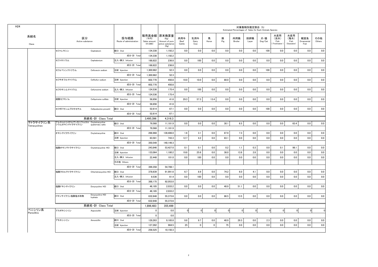| H <sub>24</sub> |                                                     |                            |                                 |                                    |                                                                   |                       |                     |                |                | Estimated Percentages of Sales for Each Animals Species | 対象動物別推定割合 (%) |                |                                     |                                   |                           |               |
|-----------------|-----------------------------------------------------|----------------------------|---------------------------------|------------------------------------|-------------------------------------------------------------------|-----------------------|---------------------|----------------|----------------|---------------------------------------------------------|---------------|----------------|-------------------------------------|-----------------------------------|---------------------------|---------------|
| 系統名<br>Class    | 区分<br>Active substance                              |                            | 投与経路<br>Route of administration | (千円)<br>Sales amount<br>$(*1,000)$ | 販売高金額 原末換算量<br>(Kg)<br>Amount of pure<br>active substance<br>(Kg) | 肉用牛<br>Beef<br>Cattle | 乳用牛<br>Dairy<br>Cow | 馬<br>Horse     | 豚<br>Pig       | 肉用鶏<br>Broiler                                          | 採卵鶏<br>Layer  | 犬・猫<br>Dog/Cat | 水産用<br>(淡水)<br>Fish<br>(Freshwater) | 水産用<br>(海水)<br>Fish<br>(Seawater) | 観賞魚<br>Ornamental<br>Fish | その他<br>Others |
|                 | セファレキシン                                             | Cephalexin                 | 経口 Oral                         | 134,338                            | 1,192.2                                                           | 0.0                   | 0.0                 | 0.0            | 0.0            | 0.0                                                     | 0.0           | 100            | 0.0                                 | 0.0                               | 0.0                       | 0.0           |
|                 |                                                     |                            | 成分·計 Total                      | 134,338                            | 1,192.2                                                           |                       |                     |                |                |                                                         |               |                |                                     |                                   |                           |               |
|                 | セファロニウム                                             | Cephalonium                | 注入·挿入 Infusion                  | 188,822                            | 236.8                                                             | 0.0                   | 100                 | 0.0            | 0.0            | 0.0                                                     | 0.0           | $0.0\,$        | 0.0                                 | 0.0                               | 0.0                       | 0.0           |
|                 |                                                     |                            | 成分·計 Total                      | 188,822                            | 236.8                                                             |                       |                     |                |                |                                                         |               |                |                                     |                                   |                           |               |
|                 | セフォベシンナトリウム                                         | Cefovecin sodium           | 注射 Injection                    | 1,300,982                          | 52.3                                                              | 0.0                   | $0.0\,$             | $0.0\,$        | $0.0\,$        | 0.0                                                     | $0.0\,$       | 100            | 0.0                                 | 0.0                               | 0.0                       | 0.0           |
|                 |                                                     |                            | 成分·計 Total                      | 1,300,982                          | 52.3                                                              |                       |                     |                |                |                                                         |               |                |                                     |                                   |                           |               |
|                 | セフチオフルナトリウム                                         | Ceftiofur sodium           | 注射 Injection                    | 602.770                            | 450.8                                                             | 10.0                  | 10.0                | 0.0            | 80.0           | 0.0                                                     | 0.0           | $0.0\,$        | 0.0                                 | 0.0                               | 0.0                       | 0.0           |
|                 |                                                     |                            | 成分·計 Total                      | 602,770                            | 450.8                                                             |                       |                     |                |                |                                                         |               |                |                                     |                                   |                           |               |
|                 | セフロキシムナトリウム                                         | Cefuroxime sodium          | 注入·挿入 Infusion                  | 124.536                            | 175.4                                                             | 0.0                   | 100                 | 0.0            | 0.0            | 0.0                                                     | 0.0           | 0.0            | 0.0                                 | 0.0                               | 0.0                       | 0.0           |
|                 |                                                     |                            | 成分·計 Total                      | 124.536                            | 175.4                                                             |                       |                     |                |                |                                                         |               |                |                                     |                                   |                           |               |
|                 | 硫酸セフキノム                                             | Cefquinome sulfate         | 注射 Injection                    | 58,856                             | 41.6                                                              | 29.3                  | 57.3                | 13.4           | 0.0            | 0.0                                                     | 0.0           | 0.0            | 0.0                                 | 0.0                               | 0.0                       | 0.0           |
|                 |                                                     |                            | 成分·計 Total                      | 58,856                             | 41.6                                                              |                       |                     |                |                |                                                         |               |                |                                     |                                   |                           |               |
|                 | セフポドキシムプロキセチル                                       | Cefpodoxime proxetil       | 経口 Oral                         | 52.614                             | 67.1                                                              | 0.0                   | 0.0                 | 0.0            | 0.0            | 0.0                                                     | 0.0           | 100            | 0.0                                 | 0.0                               | 0.0                       | 0.0           |
|                 |                                                     |                            | 成分·計 Total                      | 52,614                             | 67.1                                                              |                       |                     |                |                |                                                         |               |                |                                     |                                   |                           |               |
|                 |                                                     | 系統名·計 Class Total          |                                 | 3,495,396                          | 4,316.3                                                           |                       |                     |                |                |                                                         |               |                |                                     |                                   |                           |               |
| テトラサイクリン系       | アルキルトリメチルアンモニウムカル Oxytetracycline<br>シウムオキシテトラサイクリン | quaternary salts           | 経口 Oral                         | 79,568                             | 11,181.9                                                          | 0.0                   | 0.0                 | 0.0            | 30.1           | 6.5                                                     | 0.0           | $0.0\,$        | 0.0                                 | 63.4                              | $0.0\,$                   | 0.0           |
| Tetracyclines   |                                                     |                            | 成分·計 Total                      | 79,568                             | 11,181.9                                                          |                       |                     |                |                |                                                         |               |                |                                     |                                   |                           |               |
|                 | オキシテトラサイクリン                                         | Oxytetracycline            | 経口 Oral                         | 266,968                            | 139,406.0                                                         | 1.6                   | 3.1                 | 0.0            | 87.9           | 7.3                                                     | 0.0           | 0.0            | 0.0                                 | 0.0                               | 0.0                       | 0.0           |
|                 |                                                     |                            | 注射 Injection                    | 83,581                             | 743.3                                                             | 12.7                  | 4.2                 | 0.0            | 83.1           | 0.0                                                     | 0.0           | 0.0            | 0.0                                 | 0.0                               | 0.0                       | 0.0           |
|                 |                                                     |                            | 成分·計 Total                      | 350,549                            | 140.149.3                                                         |                       |                     |                |                |                                                         |               |                |                                     |                                   |                           |               |
|                 | 塩酸オキシテトラサイクリン                                       | Oxytetracycline HCI        | 経口 Oral                         | 243.846                            | 53,427.0                                                          | 0.1                   | 0.1                 | 0.0            | 0.2            | 1.1                                                     | 0.3           | 0.0            | 0.1                                 | 98.1                              | 0.0                       | 0.0           |
|                 |                                                     |                            | 注射 Injection                    | 133.064                            | 1.180.2                                                           | 19.8                  | 25.6                | 0.0            | 38.0           | 13.8                                                    | 2.8           | 0.0            | 0.0                                 | 0.0                               | 0.0                       | 0.0           |
|                 |                                                     |                            | 注入·挿入 Infusion                  | 22.448                             | 101.0                                                             | 0.0                   | 100                 | 0.0            | 0.0            | 0.0                                                     | 0.0           | 0.0            | 0.0                                 | 0.0                               | 0.0                       | 0.0           |
|                 |                                                     |                            | その他 Others                      |                                    |                                                                   |                       |                     |                |                |                                                         |               |                |                                     |                                   |                           |               |
|                 |                                                     |                            | 成分·計 Tota                       | 399,358                            | 54,708.1                                                          |                       |                     |                |                |                                                         |               |                |                                     |                                   |                           |               |
|                 | 塩酸クロルテトラサイクリン                                       | Chlortetracycline HCI      | 経口 Oral                         | 378,639                            | 91,991.6                                                          | 6.7                   | 8.9                 | 0.0            | 74.2           | 6.0                                                     | 4.1           | 0.0            | 0.0                                 | 0.0                               | 0.0                       | 0.0           |
|                 |                                                     |                            | 注入·挿入 Infusion                  | 9,536                              | 61.4                                                              | 0.0                   | 100                 | 0.0            | 0.0            | 0.0                                                     | 0.0           | $0.0\,$        | 0.0                                 | 0.0                               | $0.0\,$                   | 0.0           |
|                 |                                                     |                            | 成分·計 Total                      | 388,175                            | 92,053.0                                                          |                       |                     |                |                |                                                         |               |                |                                     |                                   |                           |               |
|                 | 塩酸ドキシサイクリン                                          | Doxycycline HCI            | 経口 Oral                         | 46,185                             | 2,033.2                                                           | 0.0                   | 0.0                 | 0.0            | 48.9           | 51.1                                                    | 0.0           | 0.0            | 0.0                                 | 0.0                               | 0.0                       | 0.0           |
|                 |                                                     |                            | 成分·計 Total                      | 46,185                             | 2.033.2                                                           |                       |                     |                |                |                                                         |               |                |                                     |                                   |                           |               |
|                 | ドキシサイクリン塩酸塩水和物                                      | Doxycycline HCI<br>hydrate | 経口 Oral                         | 632,648                            | 55,373.6                                                          | 0.0                   | 0.0                 | 0.0            | 86.5           | 13.5                                                    | 0.0           | 0.0            | 0.0                                 | 0.0                               | 0.0                       | 0.0           |
|                 |                                                     |                            | 成分·計 Total                      | 632.648                            | 55,373.6                                                          |                       |                     |                |                |                                                         |               |                |                                     |                                   |                           |               |
|                 |                                                     | 系統名·計 Class Total          |                                 | 1,896,483                          | 355,499                                                           |                       |                     |                |                |                                                         |               |                |                                     |                                   |                           |               |
| ペニシリン系          | アスポキシシリン                                            | Aspoxicillin               | 注射 Injection                    | $\overline{0}$                     | 0.0                                                               | $\mathbf 0$           | $\Omega$            | $\overline{0}$ | $\overline{0}$ | $\overline{0}$                                          | $\mathbf{C}$  | $\mathbf{0}$   | $\mathbf 0$                         | $\mathbf{0}$                      | $\Omega$                  | $\Omega$      |
| Penicillins     |                                                     |                            | 成分·計 Total                      | $\overline{0}$                     | 0.0                                                               |                       |                     |                |                |                                                         |               |                |                                     |                                   |                           |               |
|                 | アモキシシリン                                             | Amoxicillin                | 経口 Oral                         | 129.263                            | 9.185.8                                                           | 9.8                   | 9.7                 | 0.0            | 48.9           | 29.3                                                    | 0.0           | 2.3            | 0.0                                 | 0.0                               | 0.0                       | 0.0           |
|                 |                                                     |                            | 注射 Injection                    | 127.262                            | 964.5                                                             | 25                    | $\mathbf 0$         | $\mathbf{0}$   | 75             | 0.0                                                     | 0.0           | 0.0            | 0.0                                 | 0.0                               | 0.0                       | 0.0           |
|                 |                                                     |                            | 成分·計 Total                      | 256,525                            | 10.150.3                                                          |                       |                     |                |                |                                                         |               |                |                                     |                                   |                           |               |
|                 |                                                     |                            |                                 |                                    |                                                                   |                       |                     |                |                |                                                         |               |                |                                     |                                   |                           |               |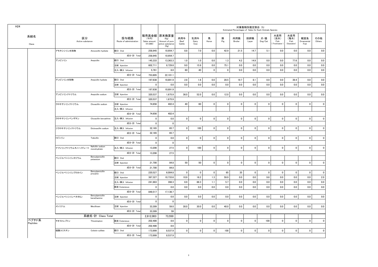|              |                        |                                 |                                 |                                             |                                                             |                       |                     |                |             | Estimated Percentages of Sales for Each Animals Species | 対象動物別推定割合 (%) |                |                                   |                                   |                           |                |
|--------------|------------------------|---------------------------------|---------------------------------|---------------------------------------------|-------------------------------------------------------------|-----------------------|---------------------|----------------|-------------|---------------------------------------------------------|---------------|----------------|-----------------------------------|-----------------------------------|---------------------------|----------------|
| 系統名<br>Class | 区分<br>Active substance |                                 | 投与経路<br>Route of administration | 販売高金額<br>(千円)<br>Sales amount<br>$(*1,000)$ | 原末換算量<br>(Kg)<br>Amount of pure<br>active substance<br>(Kg) | 肉用牛<br>Beef<br>Cattle | 乳用牛<br>Dairy<br>Cow | 馬<br>Horse     | 豚<br>Pig    | 肉用鶏<br>Broiler                                          | 採卵鶏<br>Layer  | 犬・猫<br>Dog/Cat | 水産用<br>(淡水)<br>Fish<br>Freshwater | 水産用<br>(海水)<br>Fish<br>(Seawater) | 観賞魚<br>Ornamental<br>Fish | その他<br>Others  |
|              | アモキシシリン水和物             | Amoxicillin hydrate             | 経口 Oral                         | 258,945                                     | 10,954.7                                                    | 8.8                   | 7.0                 | 0.0            | 42.9        | 21.5                                                    | 14.7          | 5.1            | 0.0                               | 0.0                               | 0.0                       | 0.0            |
|              |                        |                                 | 成分·計 Total                      | 258,945                                     | 10,954.7                                                    |                       |                     |                |             |                                                         |               |                |                                   |                                   |                           |                |
|              | アンピシリン                 | Ampicillin                      | 経口 Oral                         | 145,333                                     | 13,363.3                                                    | 1.0                   | 1.0                 | 0.0            | 1.3         | 4.2                                                     | 14.9          | 0.0            | 0.0                               | 77.6                              | 0.0                       | 0.0            |
|              |                        |                                 | 注射 Injection                    | 602,711                                     | 8,729.8                                                     | 9.0                   | 15.9                | 0.0            | 75.1        | 0.0                                                     | 0.0           | 0.0            | 0.0                               | 0.0                               | 0.0                       | 0.0            |
|              |                        |                                 | 注入·挿入 Infusion                  | 5.761                                       | 8.0                                                         | 60                    | 40                  | $\mathbf{0}$   | $\mathbf 0$ | 0.0                                                     | 0.0           | 0.0            | 0.0                               | 0.0                               | 0.0                       | 0.0            |
|              |                        |                                 | 成分·計 Total                      | 753,805                                     | 22,101.1                                                    |                       |                     |                |             |                                                         |               |                |                                   |                                   |                           |                |
|              | アンピシリン水和物              | Ampicillin hydrate              | 経口 Oral                         | 197,638                                     | 10,891.9                                                    | 2.8                   | 1.6                 | 0.0            | 28.5        | 19.7                                                    | 8.1           | 0.0            | 0.0                               | 39.4                              | 0.0                       | 0.0            |
|              |                        |                                 | 注射 Injection                    | $\mathbf{0}$                                | 0.0                                                         | 0.0                   | 0.0                 | 0.0            | 0.0         | 0.0                                                     | 0.0           | 0.0            | 0.0                               | 0.0                               | 0.0                       | 0.0            |
|              |                        |                                 | 成分·計 Total                      | 197,638                                     | 10,891.9                                                    |                       |                     |                |             |                                                         |               |                |                                   |                                   |                           |                |
|              | アンピシリンナトリウム            | Ampicillin sodium               | 注射 Injection                    | 320,537                                     | 1,675.9                                                     | 36.0                  | 52.0                | 0.0            | 12.0        | $0.0\,$                                                 | $0.0\,$       | 0.0            | 0.0                               | 0.0                               | 0.0                       | 0.0            |
|              |                        |                                 | 成分·計 Total                      | 320.537                                     | 1.675.9                                                     |                       |                     |                |             |                                                         |               |                |                                   |                                   |                           |                |
|              | クロキサシリンナトリウム           | Cloxacillin sodium              | 注射 Injection                    | 74.656                                      | 402.4                                                       | 40                    | 60                  | $\overline{0}$ | $\mathbf 0$ | $\overline{0}$                                          | $\mathbf 0$   | $\mathbf 0$    | $\mathbf 0$                       | $\mathbf 0$                       | $\mathbf 0$               | $\mathbf 0$    |
|              |                        |                                 | 注入·挿入 Infusion                  |                                             |                                                             |                       |                     |                |             |                                                         |               |                |                                   |                                   |                           |                |
|              |                        |                                 | 成分·計 Total                      | 74,656                                      | 402.4                                                       |                       |                     |                |             |                                                         |               |                |                                   |                                   |                           |                |
|              | クロキサシリンベンザチン           | Cloxacillin benzathine          | 注入·挿入 Infusion                  | $\overline{\mathbf{0}}$                     | 0.0                                                         | $\mathbf 0$           | $\pmb{0}$           | $\mathbf 0$    | $\mathbf 0$ | $\mathbf{0}$                                            | $\mathbf 0$   | $\mathbf 0$    | $\mathbf 0$                       | $\mathbf 0$                       | $\mathbf 0$               | $\mathbf 0$    |
|              |                        |                                 | 成分·計 Total                      | $\overline{\mathbf{0}}$                     | $\overline{\mathbf{0}}$                                     |                       |                     |                |             |                                                         |               |                |                                   |                                   |                           |                |
|              | ジクロキサシリンナトリウム          | Dicloxacillin sodium            | 注入·挿入 Infusion                  | 32,165                                      | 65.7                                                        | $\mathbf{0}$          | 100                 | $\mathbf 0$    | $\pmb{0}$   | $\mathbf{0}$                                            | $\mathbf 0$   | $\mathbf 0$    | $\pmb{0}$                         | $\mathbf 0$                       | $\mathbf 0$               | $\mathbf 0$    |
|              |                        |                                 | 成分·計 Total                      | 32,165                                      | 65.7                                                        |                       |                     |                |             |                                                         |               |                |                                   |                                   |                           |                |
|              | トビシリン                  | Tobicillin                      | 経口 Oral                         | $\overline{0}$                              | 0.0                                                         | $\mathbf 0$           | $\mathbf 0$         | $\mathbf{0}$   | $\mathbf 0$ | $\overline{0}$                                          | $\mathbf 0$   | $\mathbf{0}$   | $\mathbf 0$                       | $\mathbf 0$                       | $\mathbf 0$               | $\mathbf{0}$   |
|              |                        |                                 | 成分·計 Total                      | $\Omega$                                    | $\overline{0}$                                              |                       |                     |                |             |                                                         |               |                |                                   |                                   |                           |                |
|              | ナフシリンナトリウムモノハイドレート     | Nafcillin sodium<br>monohydrate | 注入·挿入 Infusion                  | 13.206                                      | 27.5                                                        | $\mathbf 0$           | 100                 | $\mathbf{0}$   | $\Omega$    | $\mathbf{0}$                                            | $\mathbf{0}$  | $\mathbf 0$    | $\mathbf 0$                       | $\mathbf 0$                       | $\mathbf 0$               | $\mathbf 0$    |
|              |                        |                                 | 成分·計 Total                      | 13,206                                      | 27.5                                                        |                       |                     |                |             |                                                         |               |                |                                   |                                   |                           |                |
|              | ベンジルペニシリンカリウム          | Benzylpenicillin<br>potassium   | 経口 Oral                         |                                             |                                                             |                       |                     |                |             |                                                         |               |                |                                   |                                   |                           |                |
|              |                        |                                 | 注射 Injection                    | 21,700                                      | 84.8                                                        | 50                    | 50                  | $\mathbf{0}$   | $\pmb{0}$   | $\mathbf{0}$                                            | $\mathbf 0$   | $\mathbf 0$    | $\mathbf 0$                       | $\pmb{0}$                         | $\mathbf 0$               | $\mathbf{0}$   |
|              |                        |                                 | 成分·計 Total                      | 21,700                                      | 84.8                                                        |                       |                     |                |             |                                                         |               |                |                                   |                                   |                           |                |
|              | ベンジルペニシリンプロカイン         | Benzylpenicillin<br>procaine    | 経口 Oral                         | 220,527                                     | 6,004.8                                                     | $\mathbf{0}$          | $\pmb{0}$           | $\overline{0}$ | 65          | 35                                                      | $\mathbf{0}$  | $\Omega$       | $\Omega$                          | $\Omega$                          | $\mathbf{0}$              | $\mathbf{0}$   |
|              |                        |                                 | 注射 Injection                    | 387.327                                     | 10.733.6                                                    | 10.9                  | 16.2                | 1.3            | 59.9        | 0.0                                                     | 0.0           | 9.6            | 0.0                               | 0.0                               | 0.0                       | 2.0            |
|              |                        |                                 | 注入·挿入 Infusion                  | 241,663                                     | 398.3                                                       | 6.9                   | 86.3                | 1.1            | 5.7         | 0.0                                                     | 0.0           | 0.0            | 0.0                               | 0.0                               | 0.0                       | 0.0            |
|              |                        |                                 | 経皮 Cutaneous                    | - 0                                         | 0.0                                                         | 0.0                   | 0.0                 | 0.0            | 0.0         | 0.0                                                     | 0.0           | 0.0            | 0.0                               | 0.0                               | 0.0                       | 0.0            |
|              |                        |                                 | 成分·計 Total                      | 849,517                                     | 17,136.7                                                    |                       |                     |                |             |                                                         |               |                |                                   |                                   |                           |                |
|              | ベンジルペニシリンベネタミン         | Benzylpenicillin<br>benethamine | 注射 Injection                    | $\mathbf{0}$                                | 0.0                                                         | 0.0                   | 0.0                 | 0.0            | 0.0         | 0.0                                                     | 0.0           | 0.0            | 0.0                               | 0.0                               | 0.0                       | 0.0            |
|              |                        |                                 | 成分·計 Total                      | $\overline{\mathbf{0}}$                     | $\overline{\mathbf{0}}$                                     |                       |                     |                |             |                                                         |               |                |                                   |                                   |                           |                |
|              | メシリナム                  | Mecillinam                      | 注射 Injection                    | 33,309                                      | 59.0                                                        | 30.0                  | 30.0                | 0.0            | 40.0        | 0.0                                                     | 0.0           | 0.0            | 0.0                               | 0.0                               | 0.0                       | 0.0            |
|              |                        |                                 | 成分·計 Total                      | 33,309                                      | 59                                                          |                       |                     |                |             |                                                         |               |                |                                   |                                   |                           |                |
|              |                        | 系統名·計 Class Total               |                                 | 2.812.003                                   | 73.550                                                      |                       |                     |                |             |                                                         |               |                |                                   |                                   |                           |                |
| ペプチド系        | チオストレプトン               | Thiostrepton                    | 経皮 Cutaneous                    | 202,486                                     | 8.6                                                         | 0                     | $\Omega$            | $\mathbf 0$    | $\mathbf 0$ | $\mathbf 0$                                             | $\mathbf 0$   | 100            | $\mathbf 0$                       | $\mathbf 0$                       | $\mathbf 0$               | $\mathbf 0$    |
| Peptides     |                        |                                 | 成分·計 Total                      | 202,486                                     | 8.6                                                         |                       |                     |                |             |                                                         |               |                |                                   |                                   |                           |                |
|              | 硫酸コリスチン                | Colistin sulfate                | 経口 Oral                         | 173,999                                     | 8,537.9                                                     | $\mathbf 0$           | $\mathbf 0$         | $\overline{0}$ | 100         | $\mathbf{0}$                                            | $\mathbf 0$   | $\mathbf 0$    | $\mathbf 0$                       | $\mathbf 0$                       | $\mathbf 0$               | $\overline{0}$ |
|              |                        |                                 | 成分·計 Total                      | 173,999                                     | 8,537.9                                                     |                       |                     |                |             |                                                         |               |                |                                   |                                   |                           |                |
|              |                        |                                 |                                 |                                             |                                                             |                       |                     |                |             |                                                         |               |                |                                   |                                   |                           |                |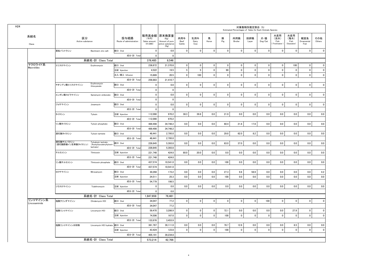|                       |                                |                                                 |                                 |                                             |                                                             |                       |                     |                |             | Estimated Percentages of Sales for Each Animals Species | 対象動物別推定割合 (%) |                |                                    |                                   |                           |               |
|-----------------------|--------------------------------|-------------------------------------------------|---------------------------------|---------------------------------------------|-------------------------------------------------------------|-----------------------|---------------------|----------------|-------------|---------------------------------------------------------|---------------|----------------|------------------------------------|-----------------------------------|---------------------------|---------------|
| 系統名<br>Class          | 区分<br>Active substance         |                                                 | 投与経路<br>Route of administration | 販売高金額<br>(千円)<br>Sales amount<br>$(*1,000)$ | 原末換算量<br>(Kg)<br>Amount of pure<br>active substance<br>(Kg) | 肉用牛<br>Beef<br>Cattle | 乳用牛<br>Dairy<br>Cow | 馬<br>Horse     | 豚<br>Pig    | 肉用鶏<br>Broiler                                          | 採卵鶏<br>Layer  | 犬・猫<br>Dog/Cat | 水産用<br>(淡水)<br>Fish<br>Freshwater) | 水産用<br>(海水)<br>Fish<br>(Seawater) | 観賞魚<br>Ornamental<br>Fish | その他<br>Others |
|                       | 亜鉛バシトラシン                       | Bacitracin zinc salt                            | 経口 Oral                         | $\mathbf 0$                                 | 0.0                                                         | $\mathbf 0$           | $\mathbf 0$         | $\mathbf 0$    | $\mathbf 0$ | $\mathbf 0$                                             | $\pmb{0}$     | $\pmb{0}$      | $\mathbf 0$                        | $\pmb{0}$                         | $\mathbf 0$               | $\pmb{0}$     |
|                       |                                |                                                 | 成分·計 Total                      | $\mathbf 0$                                 | $\mathbf 0$                                                 |                       |                     |                |             |                                                         |               |                |                                    |                                   |                           |               |
|                       |                                | 系統名·計 Class Total                               |                                 | 376,485                                     | 8.546                                                       |                       |                     |                |             |                                                         |               |                |                                    |                                   |                           |               |
| マクロライド系<br>Macrolides | エリスロマイシン                       | Erythromycin                                    | 経口 Oral                         | 236,672                                     | 21,370.8                                                    | $\mathbf{0}$          | $\mathbf 0$         | $\pmb{0}$      | $\mathbf 0$ | $\mathbf{0}$                                            | $\pmb{0}$     | $\mathbf 0$    | $\pmb{0}$                          | 100                               | $\mathbf 0$               | $\mathbf 0$   |
|                       |                                |                                                 | 注射 Injection                    | 4,522                                       | 19.5                                                        | 5                     | $5\phantom{.0}$     | $\overline{0}$ | 90          | $\mathbf{0}$                                            | $\mathbf{0}$  | $\Omega$       | $\mathbf 0$                        | $\mathbf 0$                       | $\pmb{0}$                 | $\mathbf{0}$  |
|                       |                                |                                                 | 注入·挿入 Infusion                  | 15,689                                      | 20.5                                                        | $\mathbf 0$           | 100                 | $\overline{0}$ | $\mathbf 0$ | $\mathbf{0}$                                            | $\mathbf{0}$  | $\mathbf 0$    | $\mathbf 0$                        | $\mathbf 0$                       | $\mathbf 0$               | $\mathbf 0$   |
|                       |                                |                                                 | 成分·計 Total                      | 256,883                                     | 21,410.7                                                    |                       |                     |                |             |                                                         |               |                |                                    |                                   |                           |               |
|                       | チオシアン酸エリスロマイシン                 | Erythromycin<br>thiocyanate                     | 経口 Oral                         | $\mathbf{0}$                                | 0.0                                                         | $\mathbf 0$           | $\mathbf 0$         | $\mathbf{0}$   | $\mathbf 0$ | $\overline{0}$                                          | $\mathbf 0$   | $\mathbf 0$    | $\mathbf 0$                        | $\mathbf 0$                       | $\mathbf 0$               | $\mathbf{0}$  |
|                       |                                |                                                 | 成分·計 Total                      | $\overline{0}$                              | $\mathbf 0$                                                 |                       |                     |                |             |                                                         |               |                |                                    |                                   |                           |               |
|                       | エンボン酸スピラマイシン                   | Spiramycin embonate                             | 経口 Oral                         | $\pmb{0}$                                   | 0.0                                                         | $\mathbf 0$           | $\pmb{0}$           | $\pmb{0}$      | $\mathbf 0$ | $\mathbf 0$                                             | $\mathbf 0$   | $\mathbf 0$    | $\pmb{0}$                          | $\mathbf{0}$                      | $\pmb{0}$                 | $\mathbf 0$   |
|                       |                                |                                                 | 成分·計 Total                      | $\mathbf 0$                                 | $\overline{\mathbf{0}}$                                     |                       |                     |                |             |                                                         |               |                |                                    |                                   |                           |               |
|                       | ジョサマイシン                        | Josamycin                                       | 経口 Oral                         | $\mathbf{0}$                                | 0.0                                                         | $\mathbf{0}$          | $\mathbf 0$         | $\overline{0}$ | $\mathbf 0$ | $\overline{0}$                                          | $\mathbf{0}$  | $\mathbf 0$    | $\mathbf 0$                        | $\mathbf{0}$                      | $\mathbf 0$               | $\mathbf 0$   |
|                       |                                |                                                 | 成分·計 Total                      | $\mathbf 0$                                 | $\mathbf 0$                                                 |                       |                     |                |             |                                                         |               |                |                                    |                                   |                           |               |
|                       | タイロシン                          | Tylosin                                         | 注射 Injection                    | 112.090                                     | 970.2                                                       | 38.3                  | 39.8                | 0.0            | 21.9        | 0.0                                                     | 0.0           | 0.0            | 0.0                                | 0.0                               | 0.0                       | 0.0           |
|                       |                                |                                                 | 成分·計 Total                      | 112,090                                     | 970.2                                                       |                       |                     |                |             |                                                         |               |                |                                    |                                   |                           |               |
|                       | リン酸タイロシン                       | Tylosin phosphate                               | 経口 Oral                         | 489,498                                     | 34,748.2                                                    | 0.0                   | $0.0\,$             | 0.0            | 60.4        | 21.8                                                    | 17.8          | 0.0            | 0.0                                | 0.0                               | 0.0                       | 0.0           |
|                       |                                |                                                 | 成分·計 Total                      | 489.498                                     | 34.748.2                                                    |                       |                     |                |             |                                                         |               |                |                                    |                                   |                           |               |
|                       | 酒石酸タイロシン                       | Tylosin tartrate                                | 経口 Oral                         | 48,441                                      | 2,795.0                                                     | 0.0                   | 0.0                 | 0.0            | 29.8        | 62.0                                                    | 8.2           | 0.0            | $0.0\,$                            | 0.0                               | 0.0                       | 0.0           |
|                       |                                |                                                 | 成分·計 Total                      | 48,441                                      | 2.795.0                                                     |                       |                     |                |             |                                                         |               |                |                                    |                                   |                           |               |
|                       | 酒石酸チルバロシン<br>(酒石酸酢酸イソ吉草酸タイロシン) | Tylvalosin tartrate<br>(Acetylisovaleryltylosin | 経口 Oral                         | 226,645                                     | 5,393.8                                                     | 0.0                   | 0.0                 | 0.0            | 63.0        | 37.0                                                    | 0.0           | 0.0            | 0.0                                | 0.0                               | 0.0                       | 0.0           |
|                       |                                | tartrate)                                       | 成分·計 Total                      | 226.645                                     | 5.393.8                                                     |                       |                     |                |             |                                                         |               |                |                                    |                                   |                           |               |
|                       | チルミコシン                         | Tilmicosin                                      | 注射 Injection                    | 221,748                                     | 424.0                                                       | 80.0                  | 20.0                | 0.0            | 0.0         | 0.0                                                     | 0.0           | 0.0            | 0.0                                | 0.0                               | 0.0                       | 0.0           |
|                       |                                |                                                 | 成分·計 Total                      | 221,748                                     | 424.0                                                       |                       |                     |                |             |                                                         |               |                |                                    |                                   |                           |               |
|                       | リン酸チルミコシン                      | Tilmicosin phosphate                            | 経口 Oral                         | 437,574                                     | 10,541.0                                                    | 0.0                   | 0.0                 | 0.0            | 100         | 0.0                                                     | 0.0           | 0.0            | 0.0                                | 0.0                               | 0.0                       | 0.0           |
|                       |                                |                                                 | 成分·計 Total                      | 437,574                                     | 10,541.0                                                    |                       |                     |                |             |                                                         |               |                |                                    |                                   |                           |               |
|                       | ミロサマイシン                        | Mirosamycin                                     | 経口 Oral                         | 30,268                                      | 173.2                                                       | 0.0                   | 0.0                 | 0.0            | 27.3        | 9.6                                                     | 58.9          | 0.0            | 0.0                                | 0.0                               | 0.0                       | 4.2           |
|                       |                                |                                                 | 注射 Injection                    | 24,511                                      | 25.3                                                        | $0.0\,$               | 0.0                 | $0.0\,$        | 100         | 0.0                                                     | 0.0           | 0.0            | 0.0                                | 0.0                               | 0.0                       | 0.0           |
|                       |                                |                                                 | 成分·計 Total                      | 54,779                                      | 198.5                                                       |                       |                     |                |             |                                                         |               |                |                                    |                                   |                           |               |
|                       | ツラスロマイシン                       | Tulathromycin                                   | 注射 Injection                    | $\mathbf 0$                                 | 0.0                                                         | 0.0                   | 0.0                 | $0.0\,$        | 0.0         | 0.0                                                     | 0.0           | 0.0            | $0.0\,$                            | 0.0                               | 0.0                       | $0.0\,$       |
|                       |                                |                                                 | 成分·計 Total                      | $\mathbf 0$                                 | 0.0                                                         |                       |                     |                |             |                                                         |               |                |                                    |                                   |                           |               |
|                       |                                | 系統名·計 Class Total                               |                                 | 1.847.658                                   | 76.481                                                      |                       |                     |                |             |                                                         |               |                |                                    |                                   |                           |               |
| リンコマイシン系              | 塩酸クリンダマイシン                     | Clindarnycin HCI                                | 経口 Oral                         | 34,047                                      | 77.2                                                        | $\mathbf 0$           | $\mathbf 0$         | $\mathbf 0$    | $\mathbf 0$ | $\mathbf 0$                                             | $\mathbf 0$   | 100            | $\mathbf 0$                        | $\mathbf{0}$                      | $\mathbf 0$               | $\mathbf 0$   |
| Lincosaminids         |                                |                                                 | 成分·計 Total                      | 34.047                                      | 77.2                                                        |                       |                     |                |             |                                                         |               |                |                                    |                                   |                           |               |
|                       | 塩酸リンコマイシン                      | Lincomycin HCI                                  | 経口 Oral                         | 59,470                                      | 3,286.9                                                     | $\mathbf 0$           | $\pmb{0}$           | $\mathbf 0$    | 72.1        | $0.0\,$                                                 | 0.0           | $0.0\,$        | 0.0                                | 27.9                              | $\pmb{0}$                 | $\pmb{0}$     |
|                       |                                |                                                 | 注射 Injection                    | 74.506                                      | 167.0                                                       | $\mathbf{0}$          | $\mathbf 0$         | $\overline{0}$ | 100         | $\mathbf{0}$                                            | $\mathbf 0$   | $\mathbf 0$    | $\mathbf{0}$                       | $\mathbf 0$                       | $\pmb{0}$                 | $\mathbf 0$   |
|                       |                                |                                                 | 成分·計 Total                      | 133,976                                     | 3.453.9                                                     |                       |                     |                |             |                                                         |               |                |                                    |                                   |                           |               |
|                       | 塩酸リンコマイシン水和物                   | Lincomycin HCl hydrate 経口 Oral                  |                                 | 361,767                                     | 39,111.0                                                    | $0.0\,$               | $0.0\,$             | 0.0            | 78.7        | 12.8                                                    | 0.0           | 0.0            | $0.0\,$                            | 8.5                               | 0.0                       | 0.0           |
|                       |                                |                                                 | 注射 Injection                    | 43.424                                      | 123.8                                                       | $\mathbf 0$           | $\mathbf 0$         | $\mathbf{0}$   | 100         | $\mathbf{0}$                                            | $\mathbf 0$   | $\mathbf 0$    | $\mathbf 0$                        | $\mathbf 0$                       | $\mathbf 0$               | $\mathbf 0$   |
|                       |                                |                                                 | 成分·計 Total                      | 405,191                                     | 39,234.8                                                    |                       |                     |                |             |                                                         |               |                |                                    |                                   |                           |               |
|                       |                                | 系統名・計 Class Total                               |                                 | 573.214                                     | 42.766                                                      |                       |                     |                |             |                                                         |               |                |                                    |                                   |                           |               |
|                       |                                |                                                 |                                 |                                             |                                                             |                       |                     |                |             |                                                         |               |                |                                    |                                   |                           |               |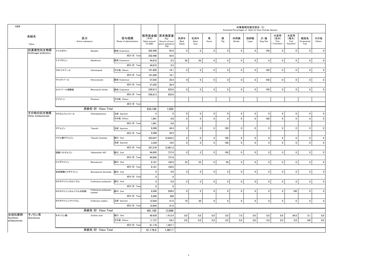| H <sub>24</sub>             |                        |                        |                                 |                                 |                                    |                                                                   |                       |                     |              |              | Estimated Percentages of Sales for Each Animals Species | 対象動物別推定割合 (%) |                |                                   |                                   |                           |               |
|-----------------------------|------------------------|------------------------|---------------------------------|---------------------------------|------------------------------------|-------------------------------------------------------------------|-----------------------|---------------------|--------------|--------------|---------------------------------------------------------|---------------|----------------|-----------------------------------|-----------------------------------|---------------------------|---------------|
|                             | 系統名<br>Class           | 区分<br>Active substance |                                 | 投与経路<br>Route of administration | (千円)<br>Sales amount<br>$(*1,000)$ | 販売高金額 原末換算量<br>(Kg)<br>Amount of pure<br>active substance<br>(Kg) | 肉用牛<br>Beef<br>Cattle | 乳用牛<br>Dairy<br>Cow | 馬<br>Horse   | 豚<br>Pig     | 肉用鶏<br>Broiler                                          | 採卵鶏<br>Layer  | 犬・猫<br>Dog/Cat | 水産用<br>(淡水)<br>Fish<br>Freshwater | 水産用<br>(海水)<br>Fish<br>(Seawater) | 観賞魚<br>Ornamental<br>Fish | その他<br>Others |
|                             | 抗真菌性抗生物質               | ナイスタチン                 | Nystatin                        | 経皮 Cutaneous                    | 202,486                            | 92.6                                                              | $\mathbf 0$           | $\mathsf 0$         | $\mathbf 0$  | $\mathbf 0$  | $\mathbf 0$                                             | $\pmb{0}$     | 100            | $\mathbf 0$                       | $\mathbf 0$                       | $\mathbf 0$               | $\mathbf 0$   |
|                             | Antifungal antibiotics |                        |                                 | 成分·計 Total                      | 202,486                            | 92.6                                                              |                       |                     |              |              |                                                         |               |                |                                   |                                   |                           |               |
|                             |                        | ナナフロシン                 | Nanafrocin                      | 経皮 Cutaneous                    | 44,810                             | 0.3                                                               | 50                    | 50                  | $\mathbf 0$  | $\mathbf 0$  | $\mathbf 0$                                             | $\mathbf 0$   | $\mathsf 0$    | $\mathbf 0$                       | $\mathbf 0$                       | $\pmb{0}$                 | $\mathbf 0$   |
|                             |                        |                        |                                 | 成分·計 Total                      | 44,810                             | 0.3                                                               |                       |                     |              |              |                                                         |               |                |                                   |                                   |                           |               |
|                             |                        | クロトリマゾール               | Clotrimazole                    | その他 Others                      | 101,856                            | 16.1                                                              | $\mathbf 0$           | $\mathbf 0$         | $\mathbf{0}$ | $\mathbf 0$  | 0                                                       | $\pmb{0}$     | 100            | $\pmb{0}$                         | $\pmb{0}$                         | $\pmb{0}$                 | $\mathbf{0}$  |
|                             |                        |                        |                                 | 成分·計 Total                      | 101,856                            | 16.1                                                              |                       |                     |              |              |                                                         |               |                |                                   |                                   |                           |               |
|                             |                        | ケトコナゾール                | Ketoconazole                    | 経皮 Cutaneous                    | 57,203                             | 20.4                                                              | $\mathbf 0$           | $\mathbf{0}$        | $\pmb{0}$    | $\mathbf 0$  | $\mathbf 0$                                             | $\mathbf 0$   | 100            | $\pmb{0}$                         | $\mathbf{0}$                      | $\mathbf 0$               | $\mathbf{0}$  |
|                             |                        |                        |                                 | 成分·計 Total                      | 57,203                             | 20.4                                                              |                       |                     |              |              |                                                         |               |                |                                   |                                   |                           |               |
|                             |                        | ミコナゾール硝酸塩              | Miconazole nitrate              | 経皮 Cutaneous                    | 526,813                            | 925.6                                                             | $\mathbf 0$           | $\mathbf{0}$        | $\mathbf 0$  | $\mathbf 0$  | $\mathbf 0$                                             | $\mathbf 0$   | 100            | $\mathbf 0$                       | $\mathbf{0}$                      | $\mathbf 0$               | $\Omega$      |
|                             |                        |                        |                                 | 成分·計 Total                      | 526,813                            | 925.6                                                             |                       |                     |              |              |                                                         |               |                |                                   |                                   |                           |               |
|                             |                        | ピマリシン                  | Pimaricin                       | その他 Others                      |                                    |                                                                   |                       |                     |              |              |                                                         |               |                |                                   |                                   |                           |               |
|                             |                        |                        |                                 | 成分·計 Total                      |                                    |                                                                   |                       |                     |              |              |                                                         |               |                |                                   |                                   |                           |               |
|                             |                        |                        | 系統名·計 Class Total               |                                 | 933,168                            | 1,055                                                             |                       |                     |              |              |                                                         |               |                |                                   |                                   |                           |               |
|                             | その他の抗生物質               | クロラムフェニコール             | Chloramphenicol                 | 注射 Injection                    | $\mathbf 0$                        | $\mathbf 0$                                                       | $\mathbf 0$           | $\mathbf 0$         | $\mathbf 0$  | $\mathbf 0$  | $\mathbf 0$                                             | $\mathbf{0}$  | $\mathbf 0$    | $\mathbf 0$                       | $\mathbf{0}$                      | $\mathbf{0}$              | $\mathbf{0}$  |
|                             | Other antibacterials   |                        |                                 | その他 Others                      | 1,961                              | 0.6                                                               | $\mathbf 0$           | $\mathbf 0$         | $\mathbf 0$  | $\mathbf 0$  | $\mathbf 0$                                             | $\mathbf{0}$  | 100            | $\mathbf 0$                       | $\mathbf 0$                       | $\mathbf 0$               | $\mathbf{0}$  |
|                             |                        |                        |                                 | 成分·計 Total                      | 1,961                              | 0.6                                                               |                       |                     |              |              |                                                         |               |                |                                   |                                   |                           |               |
|                             |                        | チアムリン                  | Tiamulin                        | 注射 Injection                    | 9,388                              | 44.4                                                              | $\mathbf{0}$          | $\mathbf 0$         | $\mathbf 0$  | 100          | $\mathbf 0$                                             | $\pmb{0}$     | $\mathbf 0$    | $\mathbf 0$                       | $\pmb{0}$                         | $\mathbf 0$               | $\mathbf 0$   |
|                             |                        |                        |                                 | 成分·計 Total                      | 9,388                              | 44.4                                                              |                       |                     |              |              |                                                         |               |                |                                   |                                   |                           |               |
|                             |                        | フマル酸チアムリン              | Tiamulin fumarate               | 経口 Oral                         | 353,947                            | 12,843.2                                                          | $\mathbf 0$           | $\mathbf 0$         | $\mathbf 0$  | 100          | 0                                                       | $\mathbf 0$   | 0              | $\mathbf 0$                       | $\pmb{0}$                         | $\mathbf 0$               | $\mathbf 0$   |
|                             |                        |                        |                                 | 注射 Injection                    | 3,329                              | 18.0                                                              | $\mathbf{0}$          | $\mathbf 0$         | $\pmb{0}$    | 100          | $\mathbf 0$                                             | $\Omega$      | $\mathbf{0}$   | $\overline{0}$                    | $\mathbf 0$                       | $\mathbf{0}$              | $\mathbf{0}$  |
|                             |                        |                        |                                 | 成分·計 Total                      | 357,276                            | 12,861.2                                                          |                       |                     |              |              |                                                         |               |                |                                   |                                   |                           |               |
|                             |                        | 塩酸バルネムリン               | Valnemuline HCI                 | 経口 Oral                         | 84,895                             | 737.8                                                             | $\mathbf 0$           | $\mathbf{0}$        | $\pmb{0}$    | 100          | $\mathbf 0$                                             | $\mathbf 0$   | $\mathbf 0$    | $\mathbf 0$                       | $\mathbf{0}$                      | $\mathbf 0$               | $\mathbf{0}$  |
|                             |                        |                        |                                 | 成分·計 Total                      | 84,895                             | 737.8                                                             |                       |                     |              |              |                                                         |               |                |                                   |                                   |                           |               |
|                             |                        | ビコザマイシン                | Bicozamycin                     | 経口 Oral                         | 8,161                              | 105.0                                                             | 25                    | 25                  | $\pmb{0}$    | 50           | $\mathbf 0$                                             | $\pmb{0}$     | 0              | $\pmb{0}$                         | 0 <sup>1</sup>                    | $\mathbf 0$               | $\mathbf{0}$  |
|                             |                        |                        |                                 | 成分·計 Total                      | 8,161                              | 105.0                                                             |                       |                     |              |              |                                                         |               |                |                                   |                                   |                           |               |
|                             |                        | 安息香酸ビコザマイシン            | Bicozamycin benzoate            | 経口 Oral                         | $\mathbf 0$                        | 0.0                                                               | $\mathbf 0$           | $\mathbf{0}$        | $\mathbf 0$  | $\mathbf 0$  | $\mathbf 0$                                             | $\mathbf 0$   | $\mathbf 0$    | $\mathbf 0$                       | $\mathbf 0$                       | $\pmb{0}$                 | $\Omega$      |
|                             |                        |                        |                                 | 成分·計 Total                      | $\mathbf{0}$                       | $\mathbf{0}$                                                      |                       |                     |              |              |                                                         |               |                |                                   |                                   |                           |               |
|                             |                        | ホスホマイシンカルシウム           | Fosfomycin potassium            | 経口 Oral                         | $\mathbf 0$                        | 0.0                                                               | $\pmb{0}$             | $\mathbf 0$         | $\pmb{0}$    | $\mathbf{0}$ | $\mathbf 0$                                             | $\mathbf 0$   | 0              | $\pmb{0}$                         | $\mathbf{0}$                      | $\mathbf 0$               | $\mathbf{0}$  |
|                             |                        |                        |                                 | 成分·計 Total                      | $\mathbf 0$                        | $\mathbf{0}$                                                      |                       |                     |              |              |                                                         |               |                |                                   |                                   |                           |               |
|                             |                        | ホスホマイシンカルシウム水和物        | Fosfomycin potassium<br>hydrate | 経口 Oral                         | 6,580                              | 208.0                                                             | $\mathbf 0$           | $\mathbf 0$         | $\mathbf 0$  | $\mathbf 0$  | $\mathbf 0$                                             | $\mathbf 0$   | $\mathbf 0$    | $\mathbf 0$                       | 100                               | $\mathbf{0}$              | $\mathbf{0}$  |
|                             |                        |                        |                                 | 成分·計 Total                      | 6,580                              | 208                                                               |                       |                     |              |              |                                                         |               |                |                                   |                                   |                           |               |
|                             |                        | ホスホマイシンナトリウム           | Fosforycin sodium               | 注射 Injection                    | 12,844                             | 41.0                                                              | 70                    | 30                  | $\mathbf 0$  | $\mathbf 0$  | $\mathbf 0$                                             | $\mathbf 0$   | $\mathbf 0$    | $\mathbf 0$                       | $\mathbf{0}$                      | $\pmb{0}$                 | $\mathbf 0$   |
|                             |                        |                        |                                 | 成分·計 Total                      | 12,844                             | 41.0                                                              |                       |                     |              |              |                                                         |               |                |                                   |                                   |                           |               |
|                             |                        |                        | 系統名·計 Class Total               |                                 | 481,105                            | 13.998                                                            |                       |                     |              |              |                                                         |               |                |                                   |                                   |                           |               |
| 合成抗菌剤                       | キノロン系                  | オキソリン酸                 | Oxolinic acid                   | 経口 Oral                         | 49,439                             | 1,413.4                                                           | 0.0                   | 0.0                 | 0.0          | 0.0          | 7.0                                                     | 0.0           | 0.0            | 8.9                               | 84.0                              | 0.1                       | 0.0           |
| Synthetic<br>antibacterials | Quinolones             |                        |                                 | その他 Others                      | 11,737                             | 54.3                                                              | 0.0                   | 0.0                 | 0.0          | 0.0          | 0.0                                                     | 0.0           | 0.0            | 0.0                               | 0.0                               | 100                       | 0.0           |
|                             |                        |                        |                                 | 成分·計 Total                      | 61,176                             | 1,467.7                                                           |                       |                     |              |              |                                                         |               |                |                                   |                                   |                           |               |
|                             |                        |                        | 系統名・計 Class Total               |                                 | 61.176.0                           | 1.467.7                                                           |                       |                     |              |              |                                                         |               |                |                                   |                                   |                           |               |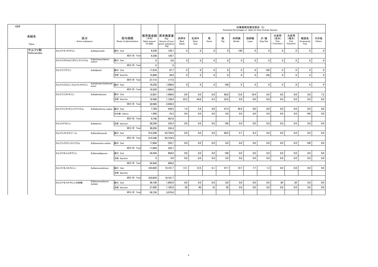| H <sub>24</sub>       |                        |                                   |                                 |                                    |                                                                   |                       |                     |              |              | Estimated Percentages of Sales for Each Animals Species | 対象動物別推定割合(%)   |                |                                   |                                   |                           |               |
|-----------------------|------------------------|-----------------------------------|---------------------------------|------------------------------------|-------------------------------------------------------------------|-----------------------|---------------------|--------------|--------------|---------------------------------------------------------|----------------|----------------|-----------------------------------|-----------------------------------|---------------------------|---------------|
| 系統名<br>Class          | 区分<br>Active substance |                                   | 投与経路<br>Route of administration | (千円)<br>Sales amount<br>$(*1,000)$ | 販売高金額 原末換算量<br>(Kg)<br>Amount of pure<br>active substance<br>(Kg) | 肉用牛<br>Beef<br>Cattle | 乳用牛<br>Dairy<br>Cow | 馬<br>Horse   | 豚<br>Pig     | 肉用鶏<br>Broiler                                          | 採卵鶏<br>Layer   | 犬・猫<br>Dog/Cat | 水産用<br>(淡水)<br>Fish<br>Freshwater | 水産用<br>(海水)<br>Fish<br>(Seawater) | 観賞魚<br>Ornamental<br>Fish | その他<br>Others |
| サルファ剤<br>Sulfonamides | スルファキノキサリン             | Sulfaquinoxalin                   | 経口 Oral                         | 6,336                              | 126.7                                                             | $\mathbf 0$           | $\mathbf 0$         | $\mathbf{0}$ | $\Omega$     | 100                                                     | $\overline{0}$ | $\mathbf{0}$   | $\mathbf 0$                       | $\mathbf 0$                       | $\mathbf{0}$              | $\mathbf 0$   |
|                       |                        |                                   | 成分·計 Total                      | 6.336                              | 126.7                                                             |                       |                     |              |              |                                                         |                |                |                                   |                                   |                           |               |
|                       | スルファクロルピリダジンナトリウム      | Sulfachlorpyridazine<br>sodium    | 経口 Oral                         | $\mathbf{0}$                       | 0.0                                                               | $\Omega$              | $\mathbf{0}$        | $\mathbf{0}$ | $\mathbf{0}$ | $\Omega$                                                | $\overline{0}$ | $\Omega$       | $\overline{0}$                    | $\mathbf 0$                       | $\Omega$                  | $\mathbf 0$   |
|                       |                        |                                   | 成分·計 Total                      | $\mathbf{0}$                       | $\mathbf 0$                                                       |                       |                     |              |              |                                                         |                |                |                                   |                                   |                           |               |
|                       | スルファジアジン               | Sulfadiazine                      | 経口 Oral                         | 11,816                             | 67.7                                                              | $\mathbf 0$           | $\mathbf 0$         | $\mathbf 0$  | $\mathbf 0$  | $\mathbf 0$                                             | $\overline{0}$ | 100            | $\mathbf 0$                       | $\mathbf 0$                       | $\Omega$                  | $\mathbf 0$   |
|                       |                        |                                   | 注射 Injection                    | 15,898                             | 49.8                                                              | $\mathbf 0$           | $\mathbf 0$         | $\mathbf 0$  | $\mathbf{0}$ | $\mathbf 0$                                             | $\overline{0}$ | 100            | $\mathbf 0$                       | $\mathbf 0$                       | $\mathbf 0$               | $\mathbf 0$   |
|                       |                        |                                   | 成分·計 Total                      | 27,714                             | 117.5                                                             |                       |                     |              |              |                                                         |                |                |                                   |                                   |                           |               |
|                       | スルファジミジン(スルファメサジン)     | Sulfadimidine(Sulfameth<br>azine) | 経口 Oral                         | 16.228                             | 1.586.0                                                           | $\mathbf 0$           | $\mathbf 0$         | $\mathbf 0$  | 100          | $\mathbf 0$                                             | $\overline{0}$ | $\mathbf 0$    | $\overline{0}$                    | $\mathbf{0}$                      | $\mathbf 0$               | $\mathbf 0$   |
|                       |                        |                                   | 成分·計 Total                      | 16,228                             | 1.586.0                                                           |                       |                     |              |              |                                                         |                |                |                                   |                                   |                           |               |
|                       | スルファジメトキシン             | Sulfadimethoxine                  | 経口 Oral                         | 12.697                             | 1,400.6                                                           | 0.0                   | 0.0                 | 0.0          | 60.8         | 13.6                                                    | 18.4           | 0.0            | 0.0                               | 0.0                               | 0.0                       | 7.2           |
|                       |                        |                                   | 注射 Injection                    | 19,388                             | 1.108.9                                                           | 25.2                  | 44.6                | 6.5          | 23.6         | 0.0                                                     | 0.0            | 0.0            | 0.0                               | 0.0                               | 0.0                       | 0.0           |
|                       |                        |                                   | 成分·計 Total                      | 32,085                             | 2.509.5                                                           |                       |                     |              |              |                                                         |                |                |                                   |                                   |                           |               |
|                       | スルファジメトキシンナトリウム        | Sulfadimethxine sodium            | 経口 Oral                         | 7.784                              | 544.5                                                             | 1.4                   | 5.4                 | 0.0          | 47.3         | 45.9                                                    | 0.0            | 0.0            | 0.0                               | 0.0                               | 0.0                       | 0.0           |
|                       |                        |                                   | その他 Others                      | 1,956                              | 23.3                                                              | 0.0                   | 0.0                 | 0.0          | 0.0          | 0.0                                                     | 0.0            | 0.0            | 0.0                               | 0.0                               | 100                       | 0.0           |
|                       |                        |                                   | 成分·計 Total                      | 9.740                              | 567.8                                                             |                       |                     |              |              |                                                         |                |                |                                   |                                   |                           |               |
|                       | スルファドキシン               | Sulfadoxine                       | 注射 Injection                    | 38,259                             | 332.4                                                             | 0.0                   | 0.0                 | 0.0          | 100          | 0.0                                                     | 0.0            | 0.0            | 0.0                               | 0.0                               | 0.0                       | 0.0           |
|                       |                        |                                   | 成分·計 Total                      | 38,259                             | 332.4                                                             |                       |                     |              |              |                                                         |                |                |                                   |                                   |                           |               |
|                       | スルファメトキサゾール            | Sulfamethoxazole                  | 経口 Oral                         | 414,346                            | 63,724.0                                                          | 0.0                   | 0.0                 | 0.0          | 88.0         | 5.7                                                     | 6.3            | 0.0            | 0.0                               | 0.0                               | 0.0                       | 0.0           |
|                       |                        |                                   | 成分·計 Total                      | 414,346                            | 63,724.0                                                          |                       |                     |              |              |                                                         |                |                |                                   |                                   |                           |               |
|                       | スルファメラジンナトリウム          | Sulfamerazine sodium              | 経口 Oral                         | 17.684                             | 335.7                                                             | 0.0                   | 0.0                 | 0.0          | 0.0          | 0.0                                                     | 0.0            | 0.0            | 0.0                               | 0.0                               | 100                       | 0.0           |
|                       |                        |                                   | 成分·計 Total                      | 17,684                             | 335.7                                                             |                       |                     |              |              |                                                         |                |                |                                   |                                   |                           |               |
|                       | スルファモイルダプソン            | SulfamoyIdapsone                  | 経口 Oral                         | 34.444                             | 984.0                                                             | 0.0                   | 0.0                 | 0.0          | 100          | 0.0                                                     | 0.0            | 0.0            | 0.0                               | 0.0                               | 0.0                       | 0.0           |
|                       |                        |                                   | 注射 Injection                    | $\mathbf{0}$                       | 0.0                                                               | 0.0                   | 0.0                 | 0.0          | 0.0          | 0.0                                                     | 0.0            | 0.0            | 0.0                               | 0.0                               | 0.0                       | 0.0           |
|                       |                        |                                   | 成分·計 Total                      | 34.444                             | 984.0                                                             |                       |                     |              |              |                                                         |                |                |                                   |                                   |                           |               |
|                       | スルファモノメトキシン            | Sulfamonomethoxin                 | 経口 Oral                         | 333,629                            | 19,101.7                                                          | 13.1                  | 12.5                | 6.1          | 47.7         | 10.7                                                    | 7.7            | 1.3            | 0.9                               | 0.0                               | 0.0                       | 0.0           |
|                       |                        |                                   | 注射 Injection                    |                                    |                                                                   |                       |                     |              |              |                                                         |                |                |                                   |                                   |                           |               |
|                       |                        |                                   | 成分·計 Total                      | 333,629                            | 19,101.7                                                          |                       |                     |              |              |                                                         |                |                |                                   |                                   |                           |               |
|                       | スルファモノメトキシン水和物         | Sulfamonomethoxin<br>hydrate      | 経口 Oral                         | 38,100                             | 1,905.0                                                           | 0.0                   | 0.0                 | 0.0          | 0.0          | 0.0                                                     | 0.0            | 0.0            | 80                                | 20                                | 0.0                       | 0.0           |
|                       |                        |                                   | 注射 Injection                    | 21,626                             | 1,165.8                                                           | 20                    | 40                  | 10           | 30           | 0.0                                                     | 0.0            | 0.0            | 0.0                               | 0.0                               | 0.0                       | 0.0           |
|                       |                        |                                   | 成分·計 Total                      | 59.726                             | 3.070.8                                                           |                       |                     |              |              |                                                         |                |                |                                   |                                   |                           |               |

6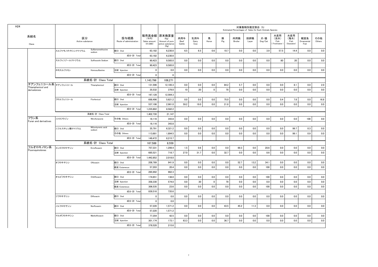|                                           |                        |                              |                                 |                                    |                                                                   |                       |                     |             |          |                | 対象動物別推定割合 (%)<br>Estimated Percentages of Sales for Each Animals Species |                |                                   |                                   |                           |               |
|-------------------------------------------|------------------------|------------------------------|---------------------------------|------------------------------------|-------------------------------------------------------------------|-----------------------|---------------------|-------------|----------|----------------|--------------------------------------------------------------------------|----------------|-----------------------------------|-----------------------------------|---------------------------|---------------|
| 系統名<br>Class                              | 区分<br>Active substance |                              | 投与経路<br>Route of administration | (千円)<br>Sales amount<br>$(*1,000)$ | 販売高金額 原末換算量<br>(Kg)<br>Amount of pure<br>active substance<br>(Kg) | 肉用牛<br>Beef<br>Cattle | 乳用牛<br>Dairy<br>Cow | 馬<br>Horse  | 豚<br>Pig | 肉用鶏<br>Broiler | 採卵鶏<br>Layer                                                             | 犬·猫<br>Dog/Cat | 水産用<br>(淡水)<br>Fish<br>Freshwater | 水産用<br>(海水)<br>Fish<br>(Seawater) | 観賞魚<br>Ornamental<br>Fish | その他<br>Others |
|                                           | スルファモノメトキシンナトリウム       | Sulfarnomethoxine<br>sodium  | 経口 Oral                         | 63,182                             | 6,230.0                                                           | 6.5                   | $6.5\,$             | 0.6         | 10.7     | 0.0            | 0.0                                                                      | 3.9            | 57.5                              | 14.4                              | 0.0                       | 0.0           |
|                                           |                        |                              | 成分·計 Total                      | 63,182                             | 6,230.0                                                           |                       |                     |             |          |                |                                                                          |                |                                   |                                   |                           |               |
|                                           | スルフィソゾールナトリウム          | Sulfisozole Sodium           | 経口 Oral                         | 90,423                             | 9,585.0                                                           | 0.0                   | 0.0                 | 0.0         | 0.0      | 0.0            | 0.0                                                                      | 0.0            | 80                                | 20                                | 0.0                       | 0.0           |
|                                           |                        |                              | 成分·計 Total                      | 90,423                             | 9,585.0                                                           |                       |                     |             |          |                |                                                                          |                |                                   |                                   |                           |               |
|                                           | ホモスルファミン               | Homosulfamine                | 注射 Injection                    | $\mathbf{0}$                       | 0.0                                                               | 0.0                   | 0.0                 | 0.0         | 0.0      | 0.0            | 0.0                                                                      | 0.0            | 0.0                               | 0.0                               | 0.0                       | 0.0           |
|                                           |                        |                              | 成分·計 Total                      | $\mathbf{0}$                       | $\mathbf{0}$                                                      |                       |                     |             |          |                |                                                                          |                |                                   |                                   |                           |               |
|                                           |                        | 系統名·計 Class Total            |                                 | 1,143,796                          | 108,271                                                           |                       |                     |             |          |                |                                                                          |                |                                   |                                   |                           |               |
| チアンフェニコール系 チアンフェニコール<br>Thiamphenicol and |                        | Thiamphenicol                | 経口 Oral                         | 131,596                            | 12,185.3                                                          | 0.0                   | 0.0                 | 0.0         | 84.2     | 5.7            | 0.0                                                                      | 0.0            | 0.0                               | 8.1                               | 0.0                       | 2.0           |
| derivateives                              |                        |                              | 注射 Injection                    | 35,532                             | 379.0                                                             | 10                    | 20                  | $\mathbf 0$ | 70       | 0.0            | 0.0                                                                      | 0.0            | 0.0                               | 0.0                               | 0.0                       | 0.0           |
|                                           |                        |                              | 成分·計 Total                      | 167,128                            | 12,564.3                                                          |                       |                     |             |          |                |                                                                          |                |                                   |                                   |                           |               |
|                                           | フロルフェニコール              | Florfenicol                  | 経口 Oral                         | 698.496                            | 5.621.2                                                           | 0.0                   | 0.0                 | 0.0         | 75.0     | 0.0            | 0.0                                                                      | 0.0            | 0.4                               | 7.8                               | 0.0                       | 16.8          |
|                                           |                        |                              | 注射 Injection                    | 537,106                            | 2,961.0                                                           | 59.2                  | 19.0                | 0.0         | 21.8     | $0.0\,$        | 0.0                                                                      | 0.0            | 0.0                               | 0.0                               | 0.0                       | 0.0           |
|                                           |                        |                              | 成分·計 Total                      | 1,235,602                          | 8,582.2                                                           |                       |                     |             |          |                |                                                                          |                |                                   |                                   |                           |               |
|                                           |                        | 系統名·計 Class Total            |                                 | 1,402,730                          | 21.147                                                            |                       |                     |             |          |                |                                                                          |                |                                   |                                   |                           |               |
| フラン系<br>Furan and derivatives             | ニトロフラゾン                | Nitrofurazone                | その他 Others                      | 18,116                             | 343.8                                                             | 0.0                   | 0.0                 | 0.0         | 0.0      | 0.0            | 0.0                                                                      | 0.0            | 0.0                               | 0.0                               | 100                       | 0.0           |
|                                           |                        |                              | 成分·計 Total                      | 18,116                             | 343.8                                                             |                       |                     |             |          |                |                                                                          |                |                                   |                                   |                           |               |
|                                           | ニフルスチレン酸ナトリウム          | Nifurstyrenic acid<br>sodium | 経口 Oral                         | 35,791                             | 6.321.2                                                           | 0.0                   | 0.0                 | 0.0         | 0.0      | 0.0            | 0.0                                                                      | 0.0            | 0.0                               | 99.7                              | 0.3                       | 0.0           |
|                                           |                        |                              | その他 Others                      | 113,681                            | 1,894.5                                                           | 0.0                   | 0.0                 | 0.0         | 0.0      | 0.0            | 0.0                                                                      | 0.0            | 0.0                               | 99.1                              | 0.9                       | 0.0           |
|                                           |                        |                              | 成分·計 Total                      | 149.472                            | 8.215.7                                                           |                       |                     |             |          |                |                                                                          |                |                                   |                                   |                           |               |
|                                           |                        | 系統名·計 Class Total            |                                 | 167.588                            | 8.559                                                             |                       |                     |             |          |                |                                                                          |                |                                   |                                   |                           |               |
| フルオロキノロン系<br>Fluoroquinolones             | エンロフロキサシン              | Enrofloxacin                 | 経口 Oral                         | 757,331                            | 1,299.4                                                           | 1.5                   | 0.6                 | 0.0         | 0.0      | 69.3           | 0.0                                                                      | 28.6           | 0.0                               | 0.0                               | 0.0                       | 0.0           |
|                                           |                        |                              | 注射 Injection                    | 685.521                            | 718.7                                                             | 27.0                  | 31.7                | 0.0         | 32.7     | 0.0            | 0.0                                                                      | 8.6            | 0.0                               | 0.0                               | 0.0                       | 0.0           |
|                                           |                        |                              | 成分·計 Total                      | 1,442,852                          | 2.018.0                                                           |                       |                     |             |          |                |                                                                          |                |                                   |                                   |                           |               |
|                                           | オフロキサシン                | Ofloxacin                    | 経口 Oral                         | 208,789                            | 941.9                                                             | 0.0                   | 0.0                 | 0.0         | 0.0      | 52.7           | 13.2                                                                     | 34.1           | 0.0                               | 0.0                               | 0.0                       | 0.0           |
|                                           |                        |                              | 経皮 Cutaneous                    | 57,203                             | 20.4                                                              | 0.0                   | 0.0                 | 0.0         | 0.0      | 0.0            | 0.0                                                                      | 100            | 0.0                               | 0.0                               | 0.0                       | 0.0           |
|                                           |                        |                              | 成分·計 Total                      | 265,992                            | 962.3                                                             |                       |                     |             |          |                |                                                                          |                |                                   |                                   |                           |               |
|                                           | オルビフロキサシン              | Orbifloxacin                 | 経口 Oral                         | 174,651                            | 138.0                                                             | 0.0                   | 0.0                 | 0.0         | 0.0      | 0.0            | 0.0                                                                      | 100            | 0.0                               | 0.0                               | 0.0                       | 0.0           |
|                                           |                        |                              | 注射 Injection                    | 358,330                            | 574.0                                                             | 0.0                   | 30                  | $\mathbf 0$ | 70       | 0.0            | 0.0                                                                      | 0.0            | 0.0                               | 0.0                               | 0.0                       | 0.0           |
|                                           |                        |                              | 経皮 Cutaneous                    | 306,535                            | 23.6                                                              | 0.0                   | 0.0                 | 0.0         | 0.0      | 0.0            | 0.0                                                                      | 100            | 0.0                               | 0.0                               | 0.0                       | 0.0           |
|                                           |                        |                              | 成分·計 Total                      | 839,516                            | 735.6                                                             |                       |                     |             |          |                |                                                                          |                |                                   |                                   |                           |               |
|                                           | ジフロキサシン                | Difloxacin                   | 経口 Oral                         | $\mathbf{0}$                       | 0.0                                                               | 0.0                   | 0.0                 | 0.0         | 0.0      | 0.0            | 0.0                                                                      | 0.0            | 0.0                               | 0.0                               | 0.0                       | 0.0           |
|                                           |                        |                              | 成分·計 Total                      | $\mathbf 0$                        | 0.0                                                               |                       |                     |             |          |                |                                                                          |                |                                   |                                   |                           |               |
|                                           | ノルフロキサシン               | Norfloxacin                  | 経口 Oral                         | 57,220                             | 1,571.2                                                           | 0.0                   | 0.0                 | 0.0         | 43.5     | 45.2           | 11.3                                                                     | 0.0            | 0.0                               | 0.0                               | 0.0                       | 0.0           |
|                                           |                        |                              | 成分·計 Total                      | 57,220                             | 1,571.2                                                           |                       |                     |             |          |                |                                                                          |                |                                   |                                   |                           |               |
|                                           | マルボフロキサシン              | Marbofloxacin                | 経口 Oral                         | 77,354                             | 42.5                                                              | 0.0                   | 0.0                 | 0.0         | 0.0      | 0.0            | 0.0                                                                      | 100            | 0.0                               | 0.0                               | 0.0                       | 0.0           |
|                                           |                        |                              | 注射 Injection                    | 301,174                            | 173.1                                                             | 63.3                  | 0.0                 | 0.0         | 36.7     | 0.0            | 0.0                                                                      | 0.0            | 0.0                               | 0.0                               | 0.0                       | 0.0           |
|                                           |                        |                              | 成分·計 Total                      | 378,528                            | 215.6                                                             |                       |                     |             |          |                |                                                                          |                |                                   |                                   |                           |               |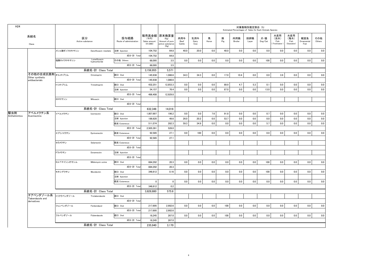| H <sub>24</sub>      |                                   |              |                               |                                 |                                             |                                                             |                       |                     |            |          |                | 対象動物別推定割合 (%)<br>Estimated Percentages of Sales for Each Animals Species |                                    |                                   |                                   |                           |               |
|----------------------|-----------------------------------|--------------|-------------------------------|---------------------------------|---------------------------------------------|-------------------------------------------------------------|-----------------------|---------------------|------------|----------|----------------|--------------------------------------------------------------------------|------------------------------------|-----------------------------------|-----------------------------------|---------------------------|---------------|
|                      | 系統名<br>Class                      |              | 区分<br>Active substance        | 投与経路<br>Route of administration | 販売高金額<br>(千円)<br>Sales amount<br>$(*1,000)$ | 原末換算量<br>(Kg)<br>Amount of pure<br>active substance<br>(Kg) | 肉用牛<br>Beef<br>Cattle | 乳用牛<br>Dairy<br>Cow | 馬<br>Horse | 豚<br>Pig | 肉用鶏<br>Broiler | 採卵鶏<br>Layer                                                             | 犬・猫<br>$\mathsf{Dog}/\mathsf{Cat}$ | 水産用<br>(淡水)<br>Fish<br>Freshwater | 水産用<br>(海水)<br>Fish<br>(Seawater) | 観賞魚<br>Ornamental<br>Fish | その他<br>Others |
|                      |                                   | メシル酸ダノフロキサシン | Danofloxacin mesilate         | 注射 Injection                    | 104,752                                     | 64.8                                                        | 40.0                  | 20.0                | 0.0        | 40.0     | 0.0            | 0.0                                                                      | 0.0                                | 0.0                               | 0.0                               | 0.0                       | 0.0           |
|                      |                                   |              |                               | 成分·計 Tota                       | 104,752                                     | 64.8                                                        |                       |                     |            |          |                |                                                                          |                                    |                                   |                                   |                           |               |
|                      |                                   | 塩酸ロメフロキサシン   | Lomefloxacin<br>hydrochloride | その他 Others                      | 68.095                                      | 3.5                                                         | 0.0                   | 0.0                 | 0.0        | 0.0      | 0.0            | $0.0\,$                                                                  | 100                                | 0.0                               | 0.0                               | $0.0\,$                   | 0.0           |
|                      |                                   |              |                               | 成分·計 Tota                       | 68.095                                      | 3.5                                                         |                       |                     |            |          |                |                                                                          |                                    |                                   |                                   |                           |               |
|                      |                                   |              | 系統名·計 Class Total             |                                 | 3,156,955                                   | 5,571                                                       |                       |                     |            |          |                |                                                                          |                                    |                                   |                                   |                           |               |
|                      | その他の合成抗菌剤オルメトプリム                  |              | Ormetoprim                    | 経口 Oral                         | 145,938                                     | 1.086.6                                                     | 34.3                  | 34.3                | 0.0        | 17.0     | 10.4           | $0.0\,$                                                                  | 0.0                                | 3.9                               | 0.0                               | 0.0                       | 0.0           |
|                      | Other synthetic<br>antibacterials |              |                               | 成分·計 Total                      | 145,938                                     | 1,086.6                                                     |                       |                     |            |          |                |                                                                          |                                    |                                   |                                   |                           |               |
|                      |                                   | トリメトプリム      | Trimethoprim                  | 経口 Oral                         | 432,251                                     | 12,853.3                                                    | 0.0                   | 0.0                 | 0.0        | 89.9     | 4.7            | 5.3                                                                      | 0.1                                | 0.0                               | 0.0                               | 0.0                       | 0.0           |
|                      |                                   |              |                               | 注射 Injection                    | 54,157                                      | 76.4                                                        | 0.0                   | 0.0                 | 0.0        | 87.0     | 0.0            | 0.0                                                                      | 13.0                               | 0.0                               | 0.0                               | 0.0                       | 0.0           |
|                      |                                   |              |                               | 成分·計 Total                      | 486.408                                     | 12.929.8                                                    |                       |                     |            |          |                |                                                                          |                                    |                                   |                                   |                           |               |
|                      |                                   | ミロキサシン       | Miloxacin                     | 経口 Oral                         |                                             |                                                             |                       |                     |            |          |                |                                                                          |                                    |                                   |                                   |                           |               |
|                      |                                   |              |                               | 成分·計 Total                      |                                             |                                                             |                       |                     |            |          |                |                                                                          |                                    |                                   |                                   |                           |               |
|                      |                                   |              | 系統名·計 Class Total             |                                 | 632.346                                     | 14,016                                                      |                       |                     |            |          |                |                                                                          |                                    |                                   |                                   |                           |               |
| 駆虫剤<br>Anthelmintics | アベルメクチン系<br>Avermectins           | イベルメクチン      | Ivermectin                    | 経口 Oral                         | 1,807,697                                   | 196.2                                                       | 0.0                   | 0.0                 | 7.6        | 91.8     | $0.0\,$        | $0.0\,$                                                                  | 0.7                                | 0.0                               | 0.0                               | 0.0                       | 0.0           |
|                      |                                   |              |                               | 注射 Injection                    | 186,620                                     | 49.6                                                        | 26.0                  | 20.2                | 0.0        | 53.7     | 0.0            | 0.0                                                                      | 0.0                                | 0.0                               | 0.0                               | 0.0                       | 0.0           |
|                      |                                   |              |                               | 経皮 Cutaneous                    | 511.074                                     | 282.3                                                       | 59.3                  | 34.9                | 0.0        | 0.0      | 0.0            | 0.0                                                                      | 5.7                                | 0.0                               | 0.0                               | 0.0                       | 0.0           |
|                      |                                   |              |                               | 成分·計 Total                      | 2,505,391                                   | 528.0                                                       |                       |                     |            |          |                |                                                                          |                                    |                                   |                                   |                           |               |
|                      |                                   | エプリノメクチン     | Eprinomectin                  | 経皮 Cutaneous                    | 92,585                                      | 27.1                                                        | 0.0                   | 100                 | 0.0        | 0.0      | 0.0            | $0.0\,$                                                                  | 0.0                                | 0.0                               | 0.0                               | 0.0                       | 0.0           |
|                      |                                   |              |                               | 成分·計 Total                      | 92.585                                      | 27.1                                                        |                       |                     |            |          |                |                                                                          |                                    |                                   |                                   |                           |               |
|                      |                                   | セラメクチン       | Selamectin                    | 経皮 Cutaneous                    |                                             |                                                             |                       |                     |            |          |                |                                                                          |                                    |                                   |                                   |                           |               |
|                      |                                   |              |                               | 成分·計 Tota                       |                                             |                                                             |                       |                     |            |          |                |                                                                          |                                    |                                   |                                   |                           |               |
|                      |                                   | ドラメクチン       | Doramectin                    | 注射 Injection                    |                                             |                                                             |                       |                     |            |          |                |                                                                          |                                    |                                   |                                   |                           |               |
|                      |                                   |              |                               | 成分·計 Total                      |                                             |                                                             |                       |                     |            |          |                |                                                                          |                                    |                                   |                                   |                           |               |
|                      |                                   | ミルベマイシンオキシム  | Miblemycin oxime              | 経口 Oral                         | 884,292                                     | 20.3                                                        | 0.0                   | 0.0                 | 0.0        | 0.0      | 0.0            | 0.0                                                                      | 100                                | 0.0                               | 0.0                               | 0.0                       | 0.0           |
|                      |                                   |              |                               | 成分·計 Tota                       | 884.292                                     | 20.3                                                        |                       |                     |            |          |                |                                                                          |                                    |                                   |                                   |                           |               |
|                      |                                   | モキシデクチン      | Moxidectin                    | 経口 Oral                         | 346,612                                     | 0.16                                                        | 0.0                   | 0.0                 | 0.0        | 0.0      | 0.0            | 0.0                                                                      | 100                                | 0.0                               | 0.0                               | 0.0                       | 0.0           |
|                      |                                   |              |                               | 注射 Injection                    |                                             |                                                             |                       |                     |            |          |                |                                                                          |                                    |                                   |                                   |                           |               |
|                      |                                   |              |                               | 経皮 Cutaneous                    | $\mathbf{0}$                                | $\mathbf 0$                                                 | 0.0                   | 0.0                 | 0.0        | 0.0      | 0.0            | 0.0                                                                      | 0.0                                | 0.0                               | 0.0                               | 0.0                       | 0.0           |
|                      |                                   |              |                               | 成分·計 Total                      | 346,612                                     | 0.2                                                         |                       |                     |            |          |                |                                                                          |                                    |                                   |                                   |                           |               |
|                      |                                   |              | 系統名·計 Class Total             |                                 | 3,828,880                                   | 575.6                                                       |                       |                     |            |          |                |                                                                          |                                    |                                   |                                   |                           |               |
|                      | チアベンダゾール系<br>Tiabendazole and     | トリクラベンダゾール   | Triclabendazole               | 経口 Oral                         |                                             |                                                             |                       |                     |            |          |                |                                                                          |                                    |                                   |                                   |                           |               |
|                      | derivatives                       |              |                               | 成分·計 Tota                       |                                             |                                                             |                       |                     |            |          |                |                                                                          |                                    |                                   |                                   |                           |               |
|                      |                                   | フェンベンダゾール    | Fenbendazol                   | 経口 Oral                         | 217,695                                     | 2,902.6                                                     | 0.0                   | 0.0                 | 0.0        | 100      | 0.0            | 0.0                                                                      | 0.0                                | 0.0                               | 0.0                               | 0.0                       | 0.0           |
|                      |                                   |              |                               | 成分·計 Total                      | 217,695                                     | 2,902.6                                                     |                       |                     |            |          |                |                                                                          |                                    |                                   |                                   |                           |               |
|                      |                                   | フルベンダゾール     | Flubendazole                  | 経口 Oral                         | 18,245                                      | 267.0                                                       | 0.0                   | 0.0                 | 0.0        | 100      | 0.0            | 0.0                                                                      | 0.0                                | 0.0                               | 0.0                               | 0.0                       | 0.0           |
|                      |                                   |              |                               | 成分·計 Total                      | 18.245                                      | 267.0                                                       |                       |                     |            |          |                |                                                                          |                                    |                                   |                                   |                           |               |
|                      |                                   |              | 系統名·計 Class Total             |                                 | 235.940                                     | 3.170                                                       |                       |                     |            |          |                |                                                                          |                                    |                                   |                                   |                           |               |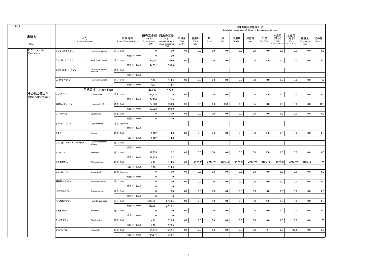| H <sub>24</sub> |                            |                        |                                |                                 |                                    |                                                                    |                       |                     |            |          | Estimated Percentages of Sales for Each Animals Species | 対象動物別推定割合 (%) |                |                                     |                                   |                           |               |
|-----------------|----------------------------|------------------------|--------------------------------|---------------------------------|------------------------------------|--------------------------------------------------------------------|-----------------------|---------------------|------------|----------|---------------------------------------------------------|---------------|----------------|-------------------------------------|-----------------------------------|---------------------------|---------------|
|                 | 系統名<br>Class               | 区分<br>Active substance |                                | 投与経路<br>Route of administration | (千円)<br>Sales amount<br>$(*1.000)$ | 販売高金額  原末換算量<br>(Kg)<br>Amount of pure<br>active substance<br>(Kg) | 肉用牛<br>Beef<br>Cattle | 乳用牛<br>Dairy<br>Cow | 馬<br>Horse | 豚<br>Pig | 肉用鶏<br>Broiler                                          | 採卵鶏<br>Layer  | 犬・猫<br>Dog/Cat | 水産用<br>(淡水)<br>Fish<br>(Freshwater) | 水産用<br>(海水)<br>Fish<br>(Seawater) | 観賞魚<br>Ornamental<br>Fish | その他<br>Others |
|                 | ピペラジン系                     | アジピン酸ピペラジン             | Piperazine adipate             | 経口 Oral                         | $\mathbf{0}$                       | 0.0                                                                | 0.0                   | 0.0                 | 0.0        | 0.0      | 0.0                                                     | 0.0           | 0.0            | 0.0                                 | 0.0                               | 0.0                       | 0.0           |
|                 | Piperazines                |                        |                                | 成分·計 Total                      | $\mathbf 0$                        | 0.0                                                                |                       |                     |            |          |                                                         |               |                |                                     |                                   |                           |               |
|                 |                            | クエン酸ピペラジン              | Piperazine citrate             | 経口 Oral                         | 24,652                             | 359.0                                                              | 0.0                   | 0.0                 | 0.0        | 0.0      | 0.0                                                     | 0.0           | 100            | 0.0                                 | 0.0                               | 0.0                       | 0.0           |
|                 |                            |                        |                                | 成分·計 Total                      | 24,652                             | 359.0                                                              |                       |                     |            |          |                                                         |               |                |                                     |                                   |                           |               |
|                 |                            | 二硫化炭素ピペラジン             | Piperazine carbon<br>disulfide | 経口 Oral                         |                                    |                                                                    |                       |                     |            |          |                                                         |               |                |                                     |                                   |                           |               |
|                 |                            |                        |                                | 成分·計 Total                      |                                    |                                                                    |                       |                     |            |          |                                                         |               |                |                                     |                                   |                           |               |
|                 |                            | リン酸ピペラジン               | Piperazine sulfate             | 経口 Oral                         | 4,431                              | 114.6                                                              | 0.0                   | 0.0                 | 0.0        | 0.0      | 0.0                                                     | 0.0           | $0.0\,$        | 0.0                                 | 0.0                               | 0.0                       | 100           |
|                 |                            |                        |                                | 成分·計 Total                      | 4,431                              | 114.6                                                              |                       |                     |            |          |                                                         |               |                |                                     |                                   |                           |               |
|                 |                            |                        | 系統名·計 Class Total              |                                 | 29,083                             | 473.6                                                              |                       |                     |            |          |                                                         |               |                |                                     |                                   |                           |               |
|                 | その他の駆虫剤                    | エモデプシド                 | Emodepside                     | 経皮 Oral                         | 34,734                             | 1.29                                                               | 0.0                   | 0.0                 | 0.0        | 0.0      | 0.0                                                     | 0.0           | 100            | 0.0                                 | 0.0                               | 0.0                       | 0.0           |
|                 | <b>Other Anthelmintics</b> |                        |                                | 成分·計 Total                      | 34,734                             | 1.29                                                               |                       |                     |            |          |                                                         |               |                |                                     |                                   |                           |               |
|                 |                            | 塩酸レバミゾール               | Levamisole HCI                 | 経口 Oral                         | 37,023                             | 599.0                                                              | 9.5                   | 0.0                 | 0.0        | 59.2     | 6.5                                                     | 6.5           | 0.0            | 0.0                                 | 0.0                               | 0.0                       | 18.3          |
|                 |                            |                        |                                | 成分·計 Total                      | 37,023                             | 599.0                                                              |                       |                     |            |          |                                                         |               |                |                                     |                                   |                           |               |
|                 |                            | レバミゾール                 | Levamisole                     | 経皮 Oral                         | $\mathbf 0$                        | 0.0                                                                | 0.0                   | 0.0                 | 0.0        | 0.0      | 0.0                                                     | 0.0           | 0.0            | 0.0                                 | 0.0                               | 0.0                       | 0.0           |
|                 |                            |                        |                                | 成分·計 Total                      | $\mathbf 0$                        | $\mathbf 0$                                                        |                       |                     |            |          |                                                         |               |                |                                     |                                   |                           |               |
|                 |                            | オキシクロザニド               | Oxyclozanide                   | 注射 Injection                    |                                    |                                                                    |                       |                     |            |          |                                                         |               |                |                                     |                                   |                           |               |
|                 |                            |                        |                                | 成分·計 Total                      |                                    |                                                                    |                       |                     |            |          |                                                         |               |                |                                     |                                   |                           |               |
|                 |                            | カマラ                    | Kamala                         | 経口 Oral                         | 1,422                              | 4.3                                                                | 0.0                   | 0.0                 | 0.0        | 0.0      | 0.0                                                     | 0.0           | 100            | 0.0                                 | 0.0                               | 0.0                       | 0.0           |
|                 |                            |                        |                                | 成分·計 Total                      | 1,422                              | 4.3                                                                |                       |                     |            |          |                                                         |               |                |                                     |                                   |                           |               |
|                 |                            | クエン酸ジエチルカルバマジン         | Diethylcarbamazine<br>citrate  | 経口 Oral                         |                                    |                                                                    |                       |                     |            |          |                                                         |               |                |                                     |                                   |                           |               |
|                 |                            |                        |                                | 成分·計 Total                      |                                    |                                                                    |                       |                     |            |          |                                                         |               |                |                                     |                                   |                           |               |
|                 |                            | サントニン                  | Santonin                       | 経口 Oral                         | 19,355                             | 10.7                                                               | 0.0                   | 0.0                 | 0.0        | 0.0      | 0.0                                                     | 0.0           | 100            | 0.0                                 | 0.0                               | 0.0                       | 0.0           |
|                 |                            |                        |                                | 成分·計 Total                      | 19,355                             | 10.7                                                               |                       |                     |            |          |                                                         |               |                |                                     |                                   |                           |               |
|                 |                            | ジクロロフェン                | Dichlorophen                   | 経口 Oral                         | 4,431                              | 114.6                                                              | 0.0                   | #DIV/0!             | #DIV/0!    | #DIV/0!  | #DIV/0!                                                 | #DIV/0!       | #DIV/0!        | #DIV/0!                             | #DIV/0!                           | #DIV/0!                   | 100           |
|                 |                            |                        |                                | 成分·計 Total                      | 4,431                              | 114.6                                                              |                       |                     |            |          |                                                         |               |                |                                     |                                   |                           |               |
|                 |                            | ジソフェノール                | Disophenol                     | 注射 Injection                    | $\mathbf 0$                        | 0.0                                                                | 0.0                   | 0.0                 | 0.0        | 0.0      | 0.0                                                     | 0.0           | 0.0            | 0.0                                 | 0.0                               | 0.0                       | 0.0           |
|                 |                            |                        |                                | 成分·計 Total                      | $\pmb{0}$                          | $\pmb{0}$                                                          |                       |                     |            |          |                                                         |               |                |                                     |                                   |                           |               |
|                 |                            | 酒石酸モランテル               | Morantel tartrate              | 経口 Oral                         | $\mathbf 0$                        | 0.0                                                                | 0.0                   | 0.0                 | 0.0        | 0.0      | 0.0                                                     | 0.0           | 0.0            | 0.0                                 | 0.0                               | 0.0                       | 0.0           |
|                 |                            |                        |                                | 成分·計 Total                      | $\mathbf{0}$                       | $\mathbf{0}$                                                       |                       |                     |            |          |                                                         |               |                |                                     |                                   |                           |               |
|                 |                            | トリブロムサラン               | Tribromsalan                   | 経口 Oral                         | $\mathbf 0$                        | 0.0                                                                | 0.0                   | 0.0                 | 0.0        | 0.0      | 0.0                                                     | 0.0           | 0.0            | 0.0                                 | 0.0                               | 0.0                       | 0.0           |
|                 |                            |                        |                                | 成分·計 Total                      | $\mathbf 0$                        | $\mathbf 0$                                                        |                       |                     |            |          |                                                         |               |                |                                     |                                   |                           |               |
|                 |                            | パモ酸ピランテル               | Pyrantel pamoate               | 経口 Oral                         | 1,333,791                          | 2,459.5                                                            | 0.0                   | $0.0\,$             | 0.0        | 0.0      | $0.0\,$                                                 | 0.0           | 100            | 0.0                                 | 0.0                               | 0.0                       | 0.0           |
|                 |                            |                        |                                | 成分·計 Total                      | 1,333,791                          | 2.459.5                                                            |                       |                     |            |          |                                                         |               |                |                                     |                                   |                           |               |
|                 |                            | ビチオノール                 | Bithionol                      | 経口 Oral                         | $\mathbf 0$                        | 0.0                                                                | 0.0                   | 0.0                 | 0.0        | 0.0      | 0.0                                                     | 0.0           | 0.0            | 0.0                                 | 0.0                               | 0.0                       | 0.0           |
|                 |                            |                        |                                | 成分·計 Total                      | $\mathbf 0$                        | $\pmb{0}$                                                          |                       |                     |            |          |                                                         |               |                |                                     |                                   |                           |               |
|                 |                            | フェノチアジン                | Phenithizine                   | 経口 Oral                         | 4,431                              | 328.5                                                              | $0.0\,$               | 0.0                 | 0.0        | 0.0      | $0.0\,$                                                 | 0.0           | 0.0            | 0.0                                 | 0.0                               | 0.0                       | 100           |
|                 |                            |                        |                                | 成分·計 Total                      | 4,431                              | 328.5                                                              |                       |                     |            |          |                                                         |               |                |                                     |                                   |                           |               |
|                 |                            | フェバンテル                 | Febantel                       | 経口 Oral                         | 134,516                            | 1,362.4                                                            | 0.0                   | 0.0                 | 0.0        | 0.0      | 0.0                                                     | 0.0           | 2.7            | 0.0                                 | 97.3                              | 0.0                       | 0.0           |
|                 |                            |                        |                                | 成分·計 Total                      | 134,516                            | 1,362.4                                                            |                       |                     |            |          |                                                         |               |                |                                     |                                   |                           |               |